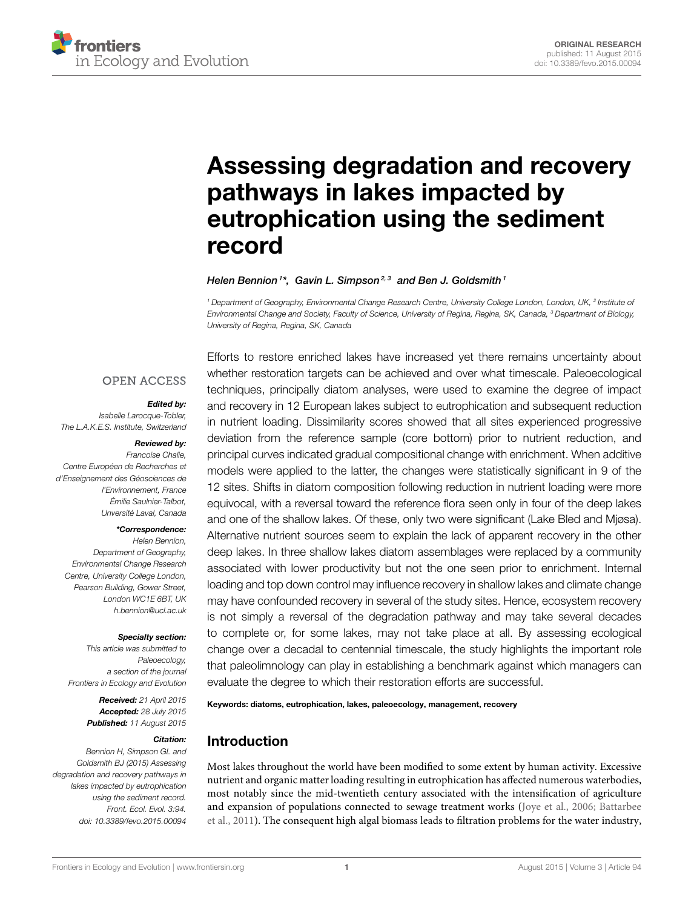

# [Assessing degradation and recovery](http://journal.frontiersin.org/article/10.3389/fevo.2015.00094/abstract) pathways in lakes impacted by eutrophication using the sediment record

#### [Helen Bennion](http://loop.frontiersin.org/people/177468/overview)<sup>1\*</sup>, [Gavin L. Simpson](http://loop.frontiersin.org/people/72603/overview)<sup>2,3</sup> and [Ben J. Goldsmith](http://loop.frontiersin.org/people/262190/overview)<sup>1</sup>

<sup>1</sup> Department of Geography, Environmental Change Research Centre, University College London, London, UK, <sup>2</sup> Institute oi Environmental Change and Society, Faculty of Science, University of Regina, Regina, SK, Canada, <sup>3</sup> Department of Biology, University of Regina, Regina, SK, Canada

# **OPEN ACCESS**

#### Edited by:

Isabelle Larocque-Tobler, The L.A.K.E.S. Institute, Switzerland

#### Reviewed by:

Francoise Chalie, Centre Européen de Recherches et d'Enseignement des Géosciences de l'Environnement, France Émilie Saulnier-Talbot, Unversité Laval, Canada

#### \*Correspondence:

Helen Bennion, Department of Geography, Environmental Change Research Centre, University College London, Pearson Building, Gower Street, London WC1E 6BT, UK [h.bennion@ucl.ac.uk](mailto:h.bennion@ucl.ac.uk)

#### Specialty section:

This article was submitted to Paleoecology, a section of the journal Frontiers in Ecology and Evolution

> Received: 21 April 2015 Accepted: 28 July 2015 Published: 11 August 2015

#### Citation:

Bennion H, Simpson GL and Goldsmith BJ (2015) Assessing degradation and recovery pathways in lakes impacted by eutrophication using the sediment record. Front. Ecol. Evol. 3:94. doi: [10.3389/fevo.2015.00094](http://dx.doi.org/10.3389/fevo.2015.00094)

Efforts to restore enriched lakes have increased yet there remains uncertainty about whether restoration targets can be achieved and over what timescale. Paleoecological techniques, principally diatom analyses, were used to examine the degree of impact and recovery in 12 European lakes subject to eutrophication and subsequent reduction in nutrient loading. Dissimilarity scores showed that all sites experienced progressive deviation from the reference sample (core bottom) prior to nutrient reduction, and principal curves indicated gradual compositional change with enrichment. When additive models were applied to the latter, the changes were statistically significant in 9 of the 12 sites. Shifts in diatom composition following reduction in nutrient loading were more equivocal, with a reversal toward the reference flora seen only in four of the deep lakes and one of the shallow lakes. Of these, only two were significant (Lake Bled and Mjøsa). Alternative nutrient sources seem to explain the lack of apparent recovery in the other deep lakes. In three shallow lakes diatom assemblages were replaced by a community associated with lower productivity but not the one seen prior to enrichment. Internal loading and top down control may influence recovery in shallow lakes and climate change may have confounded recovery in several of the study sites. Hence, ecosystem recovery is not simply a reversal of the degradation pathway and may take several decades to complete or, for some lakes, may not take place at all. By assessing ecological change over a decadal to centennial timescale, the study highlights the important role that paleolimnology can play in establishing a benchmark against which managers can evaluate the degree to which their restoration efforts are successful.

Keywords: diatoms, eutrophication, lakes, paleoecology, management, recovery

### Introduction

Most lakes throughout the world have been modified to some extent by human activity. Excessive nutrient and organic matter loading resulting in eutrophication has affected numerous waterbodies, most notably since the mid-twentieth century associated with the intensification of agriculture and expansion of populations connected to sewage treatment works [\(Joye et al., 2006;](#page-18-0) Battarbee et al., [2011\)](#page-17-0). The consequent high algal biomass leads to filtration problems for the water industry,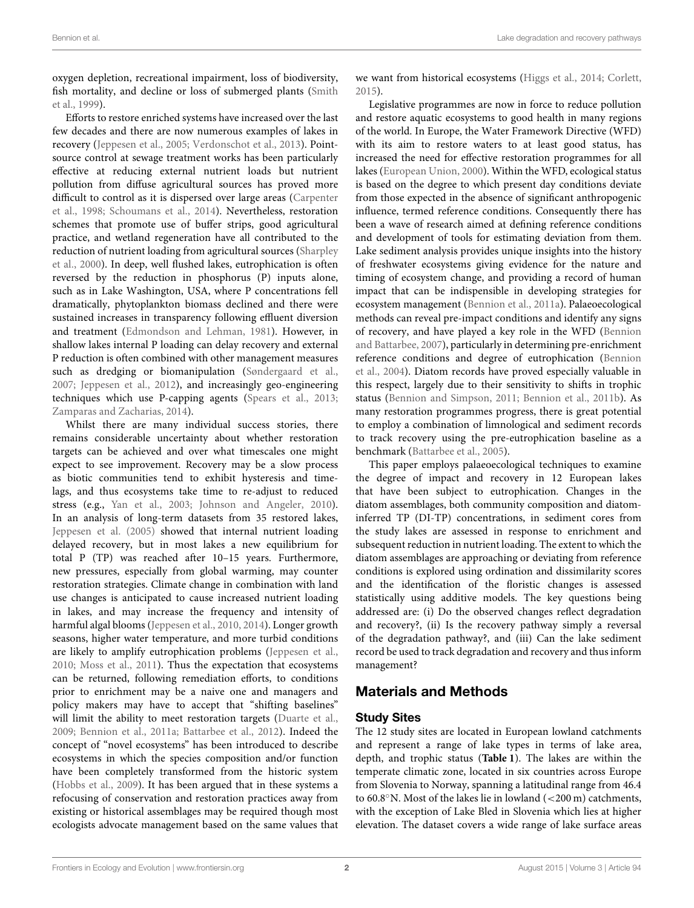oxygen depletion, recreational impairment, loss of biodiversity, fish mortality, and decline or loss of submerged plants (Smith et al., [1999\)](#page-19-0).

Efforts to restore enriched systems have increased over the last few decades and there are now numerous examples of lakes in recovery [\(Jeppesen et al., 2005;](#page-18-1) [Verdonschot et al., 2013\)](#page-19-1). Pointsource control at sewage treatment works has been particularly effective at reducing external nutrient loads but nutrient pollution from diffuse agricultural sources has proved more difficult to control as it is dispersed over large areas (Carpenter et al., [1998;](#page-18-2) [Schoumans et al., 2014\)](#page-19-2). Nevertheless, restoration schemes that promote use of buffer strips, good agricultural practice, and wetland regeneration have all contributed to the reduction of nutrient loading from agricultural sources (Sharpley et al., [2000\)](#page-19-3). In deep, well flushed lakes, eutrophication is often reversed by the reduction in phosphorus (P) inputs alone, such as in Lake Washington, USA, where P concentrations fell dramatically, phytoplankton biomass declined and there were sustained increases in transparency following effluent diversion and treatment [\(Edmondson and Lehman, 1981\)](#page-18-3). However, in shallow lakes internal P loading can delay recovery and external P reduction is often combined with other management measures such as dredging or biomanipulation [\(Søndergaard et al.,](#page-19-4) [2007;](#page-19-4) [Jeppesen et al., 2012\)](#page-18-4), and increasingly geo-engineering techniques which use P-capping agents [\(Spears et al., 2013;](#page-19-5) [Zamparas and Zacharias, 2014\)](#page-19-6).

Whilst there are many individual success stories, there remains considerable uncertainty about whether restoration targets can be achieved and over what timescales one might expect to see improvement. Recovery may be a slow process as biotic communities tend to exhibit hysteresis and timelags, and thus ecosystems take time to re-adjust to reduced stress (e.g., [Yan et al., 2003;](#page-19-7) [Johnson and Angeler, 2010\)](#page-18-5). In an analysis of long-term datasets from 35 restored lakes, [Jeppesen et al. \(2005\)](#page-18-1) showed that internal nutrient loading delayed recovery, but in most lakes a new equilibrium for total P (TP) was reached after 10–15 years. Furthermore, new pressures, especially from global warming, may counter restoration strategies. Climate change in combination with land use changes is anticipated to cause increased nutrient loading in lakes, and may increase the frequency and intensity of harmful algal blooms [\(Jeppesen et al., 2010,](#page-18-6) [2014\)](#page-18-7). Longer growth seasons, higher water temperature, and more turbid conditions are likely to amplify eutrophication problems [\(Jeppesen et al.,](#page-18-6) [2010;](#page-18-6) [Moss et al., 2011\)](#page-19-8). Thus the expectation that ecosystems can be returned, following remediation efforts, to conditions prior to enrichment may be a naive one and managers and policy makers may have to accept that "shifting baselines" will limit the ability to meet restoration targets [\(Duarte et al.,](#page-18-8) [2009;](#page-18-8) [Bennion et al., 2011a;](#page-17-1) [Battarbee et al., 2012\)](#page-17-2). Indeed the concept of "novel ecosystems" has been introduced to describe ecosystems in which the species composition and/or function have been completely transformed from the historic system [\(Hobbs et al., 2009\)](#page-18-9). It has been argued that in these systems a refocusing of conservation and restoration practices away from existing or historical assemblages may be required though most ecologists advocate management based on the same values that we want from historical ecosystems [\(Higgs et al., 2014;](#page-18-10) [Corlett,](#page-18-11) [2015\)](#page-18-11).

Legislative programmes are now in force to reduce pollution and restore aquatic ecosystems to good health in many regions of the world. In Europe, the Water Framework Directive (WFD) with its aim to restore waters to at least good status, has increased the need for effective restoration programmes for all lakes [\(European Union, 2000\)](#page-18-12). Within the WFD, ecological status is based on the degree to which present day conditions deviate from those expected in the absence of significant anthropogenic influence, termed reference conditions. Consequently there has been a wave of research aimed at defining reference conditions and development of tools for estimating deviation from them. Lake sediment analysis provides unique insights into the history of freshwater ecosystems giving evidence for the nature and timing of ecosystem change, and providing a record of human impact that can be indispensible in developing strategies for ecosystem management [\(Bennion et al., 2011a\)](#page-17-1). Palaeoecological methods can reveal pre-impact conditions and identify any signs of recovery, and have played a key role in the WFD (Bennion and Battarbee, [2007\)](#page-17-3), particularly in determining pre-enrichment reference conditions and degree of eutrophication (Bennion et al., [2004\)](#page-18-13). Diatom records have proved especially valuable in this respect, largely due to their sensitivity to shifts in trophic status [\(Bennion and Simpson, 2011;](#page-18-14) [Bennion et al., 2011b\)](#page-18-15). As many restoration programmes progress, there is great potential to employ a combination of limnological and sediment records to track recovery using the pre-eutrophication baseline as a benchmark [\(Battarbee et al., 2005\)](#page-17-4).

This paper employs palaeoecological techniques to examine the degree of impact and recovery in 12 European lakes that have been subject to eutrophication. Changes in the diatom assemblages, both community composition and diatominferred TP (DI-TP) concentrations, in sediment cores from the study lakes are assessed in response to enrichment and subsequent reduction in nutrient loading. The extent to which the diatom assemblages are approaching or deviating from reference conditions is explored using ordination and dissimilarity scores and the identification of the floristic changes is assessed statistically using additive models. The key questions being addressed are: (i) Do the observed changes reflect degradation and recovery?, (ii) Is the recovery pathway simply a reversal of the degradation pathway?, and (iii) Can the lake sediment record be used to track degradation and recovery and thus inform management?

# Materials and Methods

### Study Sites

The 12 study sites are located in European lowland catchments and represent a range of lake types in terms of lake area, depth, and trophic status (**[Table 1](#page-2-0)**). The lakes are within the temperate climatic zone, located in six countries across Europe from Slovenia to Norway, spanning a latitudinal range from 46.4 to 60.8◦N. Most of the lakes lie in lowland (<200 m) catchments, with the exception of Lake Bled in Slovenia which lies at higher elevation. The dataset covers a wide range of lake surface areas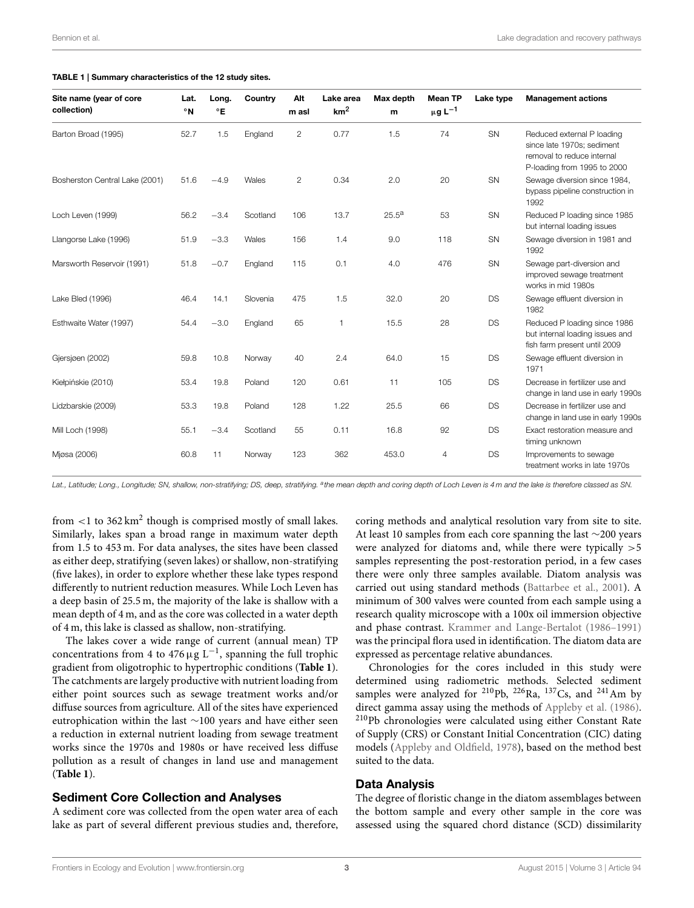#### <span id="page-2-0"></span>TABLE 1 | Summary characteristics of the 12 study sites.

| Site name (year of core<br>collection) | Lat.<br>$^{\circ}$ N | Long.<br>$^{\circ}$ E | Country  | Alt<br>m asl   | Lake area<br>km <sup>2</sup> | Max depth<br>m | <b>Mean TP</b><br>$\mu g L^{-1}$ | Lake type | <b>Management actions</b>                                                                                             |
|----------------------------------------|----------------------|-----------------------|----------|----------------|------------------------------|----------------|----------------------------------|-----------|-----------------------------------------------------------------------------------------------------------------------|
| Barton Broad (1995)                    | 52.7                 | 1.5                   | England  | $\overline{2}$ | 0.77                         | 1.5            | 74                               | <b>SN</b> | Reduced external P loading<br>since late 1970s; sediment<br>removal to reduce internal<br>P-loading from 1995 to 2000 |
| Bosherston Central Lake (2001)         | 51.6                 | $-4.9$                | Wales    | $\overline{2}$ | 0.34                         | 2.0            | 20                               | SN        | Sewage diversion since 1984,<br>bypass pipeline construction in<br>1992                                               |
| Loch Leven (1999)                      | 56.2                 | $-3.4$                | Scotland | 106            | 13.7                         | $25.5^{\rm a}$ | 53                               | SN        | Reduced P loading since 1985<br>but internal loading issues                                                           |
| Llangorse Lake (1996)                  | 51.9                 | $-3.3$                | Wales    | 156            | 1.4                          | 9.0            | 118                              | SN        | Sewage diversion in 1981 and<br>1992                                                                                  |
| Marsworth Reservoir (1991)             | 51.8                 | $-0.7$                | England  | 115            | 0.1                          | 4.0            | 476                              | SN        | Sewage part-diversion and<br>improved sewage treatment<br>works in mid 1980s                                          |
| Lake Bled (1996)                       | 46.4                 | 14.1                  | Slovenia | 475            | 1.5                          | 32.0           | 20                               | <b>DS</b> | Sewage effluent diversion in<br>1982                                                                                  |
| Esthwaite Water (1997)                 | 54.4                 | $-3.0$                | England  | 65             | $\mathbf{1}$                 | 15.5           | 28                               | <b>DS</b> | Reduced P loading since 1986<br>but internal loading issues and<br>fish farm present until 2009                       |
| Gjersjøen (2002)                       | 59.8                 | 10.8                  | Norway   | 40             | 2.4                          | 64.0           | 15                               | DS        | Sewage effluent diversion in<br>1971                                                                                  |
| Kiełpińskie (2010)                     | 53.4                 | 19.8                  | Poland   | 120            | 0.61                         | 11             | 105                              | <b>DS</b> | Decrease in fertilizer use and<br>change in land use in early 1990s                                                   |
| Lidzbarskie (2009)                     | 53.3                 | 19.8                  | Poland   | 128            | 1.22                         | 25.5           | 66                               | <b>DS</b> | Decrease in fertilizer use and<br>change in land use in early 1990s                                                   |
| Mill Loch (1998)                       | 55.1                 | $-3.4$                | Scotland | 55             | 0.11                         | 16.8           | 92                               | <b>DS</b> | Exact restoration measure and<br>timing unknown                                                                       |
| Mjøsa (2006)                           | 60.8                 | 11                    | Norway   | 123            | 362                          | 453.0          | $\overline{4}$                   | <b>DS</b> | Improvements to sewage<br>treatment works in late 1970s                                                               |

Lat., Latitude; Long., Longitude; SN, shallow, non-stratifying; DS, deep, stratifying. <sup>a</sup>the mean depth and coring depth of Loch Leven is 4 m and the lake is therefore classed as SN.

from  $<$ 1 to 362 km<sup>2</sup> though is comprised mostly of small lakes. Similarly, lakes span a broad range in maximum water depth from 1.5 to 453 m. For data analyses, the sites have been classed as either deep, stratifying (seven lakes) or shallow, non-stratifying (five lakes), in order to explore whether these lake types respond differently to nutrient reduction measures. While Loch Leven has a deep basin of 25.5 m, the majority of the lake is shallow with a mean depth of 4 m, and as the core was collected in a water depth of 4 m, this lake is classed as shallow, non-stratifying.

The lakes cover a wide range of current (annual mean) TP concentrations from 4 to  $476 \,\mathrm{\upmu g}\ \mathrm{L}^{-1}$ , spanning the full trophic gradient from oligotrophic to hypertrophic conditions (**[Table 1](#page-2-0)**). The catchments are largely productive with nutrient loading from either point sources such as sewage treatment works and/or diffuse sources from agriculture. All of the sites have experienced eutrophication within the last ∼100 years and have either seen a reduction in external nutrient loading from sewage treatment works since the 1970s and 1980s or have received less diffuse pollution as a result of changes in land use and management (**[Table 1](#page-2-0)**).

### Sediment Core Collection and Analyses

A sediment core was collected from the open water area of each lake as part of several different previous studies and, therefore, coring methods and analytical resolution vary from site to site. At least 10 samples from each core spanning the last ∼200 years were analyzed for diatoms and, while there were typically  $>5$ samples representing the post-restoration period, in a few cases there were only three samples available. Diatom analysis was carried out using standard methods [\(Battarbee et al., 2001\)](#page-17-5). A minimum of 300 valves were counted from each sample using a research quality microscope with a 100x oil immersion objective and phase contrast. [Krammer and Lange-Bertalot \(1986–1991\)](#page-18-16) was the principal flora used in identification. The diatom data are expressed as percentage relative abundances.

Chronologies for the cores included in this study were determined using radiometric methods. Selected sediment samples were analyzed for <sup>210</sup>Pb, <sup>226</sup>Ra, <sup>137</sup>Cs, and <sup>241</sup>Am by direct gamma assay using the methods of [Appleby et al. \(1986\)](#page-17-6). <sup>210</sup>Pb chronologies were calculated using either Constant Rate of Supply (CRS) or Constant Initial Concentration (CIC) dating models [\(Appleby and Oldfield, 1978\)](#page-17-7), based on the method best suited to the data.

### Data Analysis

The degree of floristic change in the diatom assemblages between the bottom sample and every other sample in the core was assessed using the squared chord distance (SCD) dissimilarity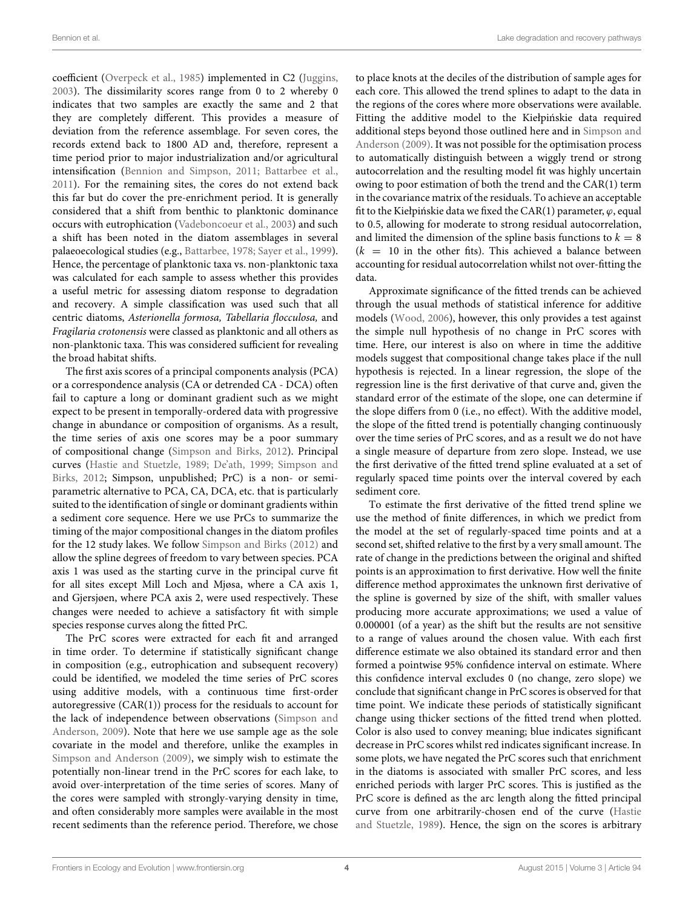coefficient [\(Overpeck et al., 1985\)](#page-19-9) implemented in C2 [\(Juggins,](#page-18-17) [2003\)](#page-18-17). The dissimilarity scores range from 0 to 2 whereby 0 indicates that two samples are exactly the same and 2 that they are completely different. This provides a measure of deviation from the reference assemblage. For seven cores, the records extend back to 1800 AD and, therefore, represent a time period prior to major industrialization and/or agricultural intensification [\(Bennion and Simpson, 2011;](#page-18-14) [Battarbee et al.,](#page-17-0) [2011\)](#page-17-0). For the remaining sites, the cores do not extend back this far but do cover the pre-enrichment period. It is generally considered that a shift from benthic to planktonic dominance occurs with eutrophication [\(Vadeboncoeur et al., 2003\)](#page-19-10) and such a shift has been noted in the diatom assemblages in several palaeoecological studies (e.g., [Battarbee, 1978;](#page-17-8) [Sayer et al., 1999\)](#page-19-11). Hence, the percentage of planktonic taxa vs. non-planktonic taxa was calculated for each sample to assess whether this provides a useful metric for assessing diatom response to degradation and recovery. A simple classification was used such that all centric diatoms, Asterionella formosa, Tabellaria flocculosa, and Fragilaria crotonensis were classed as planktonic and all others as non-planktonic taxa. This was considered sufficient for revealing the broad habitat shifts.

The first axis scores of a principal components analysis (PCA) or a correspondence analysis (CA or detrended CA - DCA) often fail to capture a long or dominant gradient such as we might expect to be present in temporally-ordered data with progressive change in abundance or composition of organisms. As a result, the time series of axis one scores may be a poor summary of compositional change [\(Simpson and Birks, 2012\)](#page-19-12). Principal curves [\(Hastie and Stuetzle, 1989;](#page-18-18) [De'ath, 1999;](#page-18-19) Simpson and Birks, [2012;](#page-19-12) Simpson, unpublished; PrC) is a non- or semiparametric alternative to PCA, CA, DCA, etc. that is particularly suited to the identification of single or dominant gradients within a sediment core sequence. Here we use PrCs to summarize the timing of the major compositional changes in the diatom profiles for the 12 study lakes. We follow [Simpson and Birks \(2012\)](#page-19-12) and allow the spline degrees of freedom to vary between species. PCA axis 1 was used as the starting curve in the principal curve fit for all sites except Mill Loch and Mjøsa, where a CA axis 1, and Gjersjøen, where PCA axis 2, were used respectively. These changes were needed to achieve a satisfactory fit with simple species response curves along the fitted PrC.

The PrC scores were extracted for each fit and arranged in time order. To determine if statistically significant change in composition (e.g., eutrophication and subsequent recovery) could be identified, we modeled the time series of PrC scores using additive models, with a continuous time first-order autoregressive (CAR(1)) process for the residuals to account for the lack of independence between observations (Simpson and Anderson, [2009\)](#page-19-13). Note that here we use sample age as the sole covariate in the model and therefore, unlike the examples in [Simpson and Anderson \(2009\)](#page-19-13), we simply wish to estimate the potentially non-linear trend in the PrC scores for each lake, to avoid over-interpretation of the time series of scores. Many of the cores were sampled with strongly-varying density in time, and often considerably more samples were available in the most recent sediments than the reference period. Therefore, we chose to place knots at the deciles of the distribution of sample ages for each core. This allowed the trend splines to adapt to the data in the regions of the cores where more observations were available. Fitting the additive model to the Kiełpińskie data required additional steps beyond those outlined here and in Simpson and Anderson [\(2009\)](#page-19-13). It was not possible for the optimisation process to automatically distinguish between a wiggly trend or strong autocorrelation and the resulting model fit was highly uncertain owing to poor estimation of both the trend and the CAR(1) term in the covariance matrix of the residuals. To achieve an acceptable fit to the Kiełpińskie data we fixed the CAR(1) parameter,  $\varphi$ , equal to 0.5, allowing for moderate to strong residual autocorrelation, and limited the dimension of the spline basis functions to  $k = 8$  $(k = 10$  in the other fits). This achieved a balance between accounting for residual autocorrelation whilst not over-fitting the data.

Approximate significance of the fitted trends can be achieved through the usual methods of statistical inference for additive models [\(Wood, 2006\)](#page-19-14), however, this only provides a test against the simple null hypothesis of no change in PrC scores with time. Here, our interest is also on where in time the additive models suggest that compositional change takes place if the null hypothesis is rejected. In a linear regression, the slope of the regression line is the first derivative of that curve and, given the standard error of the estimate of the slope, one can determine if the slope differs from 0 (i.e., no effect). With the additive model, the slope of the fitted trend is potentially changing continuously over the time series of PrC scores, and as a result we do not have a single measure of departure from zero slope. Instead, we use the first derivative of the fitted trend spline evaluated at a set of regularly spaced time points over the interval covered by each sediment core.

To estimate the first derivative of the fitted trend spline we use the method of finite differences, in which we predict from the model at the set of regularly-spaced time points and at a second set, shifted relative to the first by a very small amount. The rate of change in the predictions between the original and shifted points is an approximation to first derivative. How well the finite difference method approximates the unknown first derivative of the spline is governed by size of the shift, with smaller values producing more accurate approximations; we used a value of 0.000001 (of a year) as the shift but the results are not sensitive to a range of values around the chosen value. With each first difference estimate we also obtained its standard error and then formed a pointwise 95% confidence interval on estimate. Where this confidence interval excludes 0 (no change, zero slope) we conclude that significant change in PrC scores is observed for that time point. We indicate these periods of statistically significant change using thicker sections of the fitted trend when plotted. Color is also used to convey meaning; blue indicates significant decrease in PrC scores whilst red indicates significant increase. In some plots, we have negated the PrC scores such that enrichment in the diatoms is associated with smaller PrC scores, and less enriched periods with larger PrC scores. This is justified as the PrC score is defined as the arc length along the fitted principal curve from one arbitrarily-chosen end of the curve (Hastie and Stuetzle, [1989\)](#page-18-18). Hence, the sign on the scores is arbitrary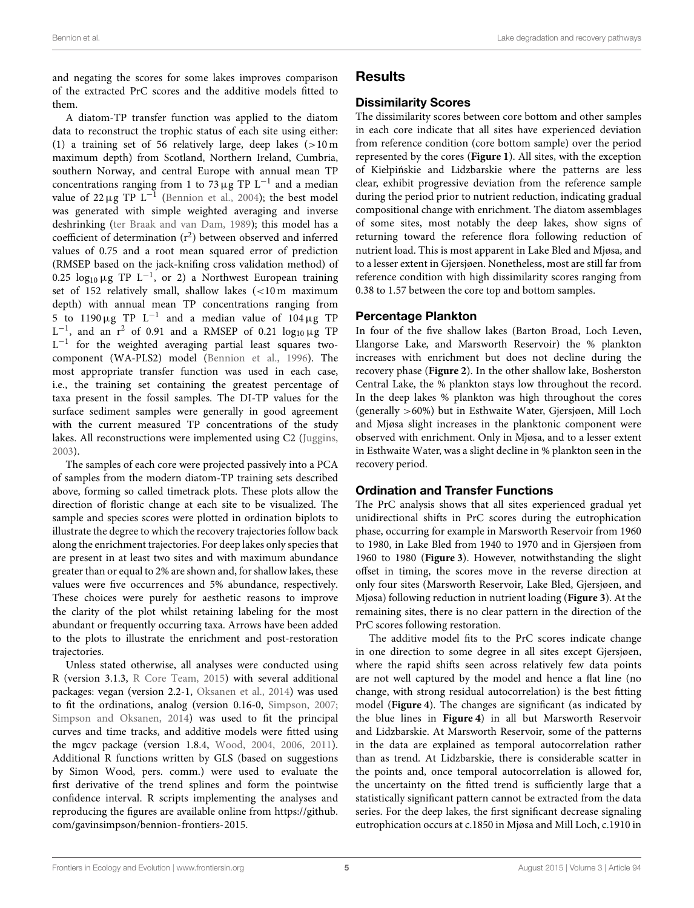and negating the scores for some lakes improves comparison of the extracted PrC scores and the additive models fitted to them.

A diatom-TP transfer function was applied to the diatom data to reconstruct the trophic status of each site using either: (1) a training set of 56 relatively large, deep lakes  $(>10 \text{ m})$ maximum depth) from Scotland, Northern Ireland, Cumbria, southern Norway, and central Europe with annual mean TP concentrations ranging from 1 to 73  $\mu$ g TP L<sup>-1</sup> and a median value of  $22 \,\mu g$  TP  $L^{-1}$  [\(Bennion et al., 2004\)](#page-18-13); the best model was generated with simple weighted averaging and inverse deshrinking [\(ter Braak and van Dam, 1989\)](#page-19-15); this model has a coefficient of determination  $(r^2)$  between observed and inferred values of 0.75 and a root mean squared error of prediction (RMSEP based on the jack-knifing cross validation method) of 0.25  $\log_{10} \mu$ g TP L<sup>-1</sup>, or 2) a Northwest European training set of 152 relatively small, shallow lakes (<10 m maximum depth) with annual mean TP concentrations ranging from 5 to 1190  $\mu$ g TP L<sup>-1</sup> and a median value of 104 $\mu$ g TP  $L^{-1}$ , and an  $r^2$  of 0.91 and a RMSEP of 0.21  $\log_{10} \mu$ g TP  $L^{-1}$  for the weighted averaging partial least squares twocomponent (WA-PLS2) model [\(Bennion et al., 1996\)](#page-18-20). The most appropriate transfer function was used in each case, i.e., the training set containing the greatest percentage of taxa present in the fossil samples. The DI-TP values for the surface sediment samples were generally in good agreement with the current measured TP concentrations of the study lakes. All reconstructions were implemented using C2 [\(Juggins,](#page-18-17) [2003\)](#page-18-17).

The samples of each core were projected passively into a PCA of samples from the modern diatom-TP training sets described above, forming so called timetrack plots. These plots allow the direction of floristic change at each site to be visualized. The sample and species scores were plotted in ordination biplots to illustrate the degree to which the recovery trajectories follow back along the enrichment trajectories. For deep lakes only species that are present in at least two sites and with maximum abundance greater than or equal to 2% are shown and, for shallow lakes, these values were five occurrences and 5% abundance, respectively. These choices were purely for aesthetic reasons to improve the clarity of the plot whilst retaining labeling for the most abundant or frequently occurring taxa. Arrows have been added to the plots to illustrate the enrichment and post-restoration trajectories.

Unless stated otherwise, all analyses were conducted using R (version 3.1.3, [R Core Team, 2015\)](#page-19-16) with several additional packages: vegan (version 2.2-1, [Oksanen et al., 2014\)](#page-19-17) was used to fit the ordinations, analog (version 0.16-0, [Simpson, 2007;](#page-19-18) [Simpson and Oksanen, 2014\)](#page-19-19) was used to fit the principal curves and time tracks, and additive models were fitted using the mgcv package (version 1.8.4, [Wood, 2004,](#page-19-20) [2006,](#page-19-14) [2011\)](#page-19-21). Additional R functions written by GLS (based on suggestions by Simon Wood, pers. comm.) were used to evaluate the first derivative of the trend splines and form the pointwise confidence interval. R scripts implementing the analyses and reproducing the figures are available online from [https://github.](https://github.com/gavinsimpson/bennion-frontiers-2015) [com/gavinsimpson/bennion-frontiers-2015.](https://github.com/gavinsimpson/bennion-frontiers-2015)

# **Results**

# Dissimilarity Scores

The dissimilarity scores between core bottom and other samples in each core indicate that all sites have experienced deviation from reference condition (core bottom sample) over the period represented by the cores (**[Figure 1](#page-5-0)**). All sites, with the exception of Kiełpinskie and Lidzbarskie where the patterns are less ´ clear, exhibit progressive deviation from the reference sample during the period prior to nutrient reduction, indicating gradual compositional change with enrichment. The diatom assemblages of some sites, most notably the deep lakes, show signs of returning toward the reference flora following reduction of nutrient load. This is most apparent in Lake Bled and Mjøsa, and to a lesser extent in Gjersjøen. Nonetheless, most are still far from reference condition with high dissimilarity scores ranging from 0.38 to 1.57 between the core top and bottom samples.

### Percentage Plankton

In four of the five shallow lakes (Barton Broad, Loch Leven, Llangorse Lake, and Marsworth Reservoir) the % plankton increases with enrichment but does not decline during the recovery phase (**[Figure 2](#page-6-0)**). In the other shallow lake, Bosherston Central Lake, the % plankton stays low throughout the record. In the deep lakes % plankton was high throughout the cores (generally >60%) but in Esthwaite Water, Gjersjøen, Mill Loch and Mjøsa slight increases in the planktonic component were observed with enrichment. Only in Mjøsa, and to a lesser extent in Esthwaite Water, was a slight decline in % plankton seen in the recovery period.

# Ordination and Transfer Functions

The PrC analysis shows that all sites experienced gradual yet unidirectional shifts in PrC scores during the eutrophication phase, occurring for example in Marsworth Reservoir from 1960 to 1980, in Lake Bled from 1940 to 1970 and in Gjersjøen from 1960 to 1980 (**[Figure 3](#page-7-0)**). However, notwithstanding the slight offset in timing, the scores move in the reverse direction at only four sites (Marsworth Reservoir, Lake Bled, Gjersjøen, and Mjøsa) following reduction in nutrient loading (**[Figure 3](#page-7-0)**). At the remaining sites, there is no clear pattern in the direction of the PrC scores following restoration.

The additive model fits to the PrC scores indicate change in one direction to some degree in all sites except Gjersjøen, where the rapid shifts seen across relatively few data points are not well captured by the model and hence a flat line (no change, with strong residual autocorrelation) is the best fitting model (**[Figure 4](#page-8-0)**). The changes are significant (as indicated by the blue lines in **[Figure 4](#page-8-0)**) in all but Marsworth Reservoir and Lidzbarskie. At Marsworth Reservoir, some of the patterns in the data are explained as temporal autocorrelation rather than as trend. At Lidzbarskie, there is considerable scatter in the points and, once temporal autocorrelation is allowed for, the uncertainty on the fitted trend is sufficiently large that a statistically significant pattern cannot be extracted from the data series. For the deep lakes, the first significant decrease signaling eutrophication occurs at c.1850 in Mjøsa and Mill Loch, c.1910 in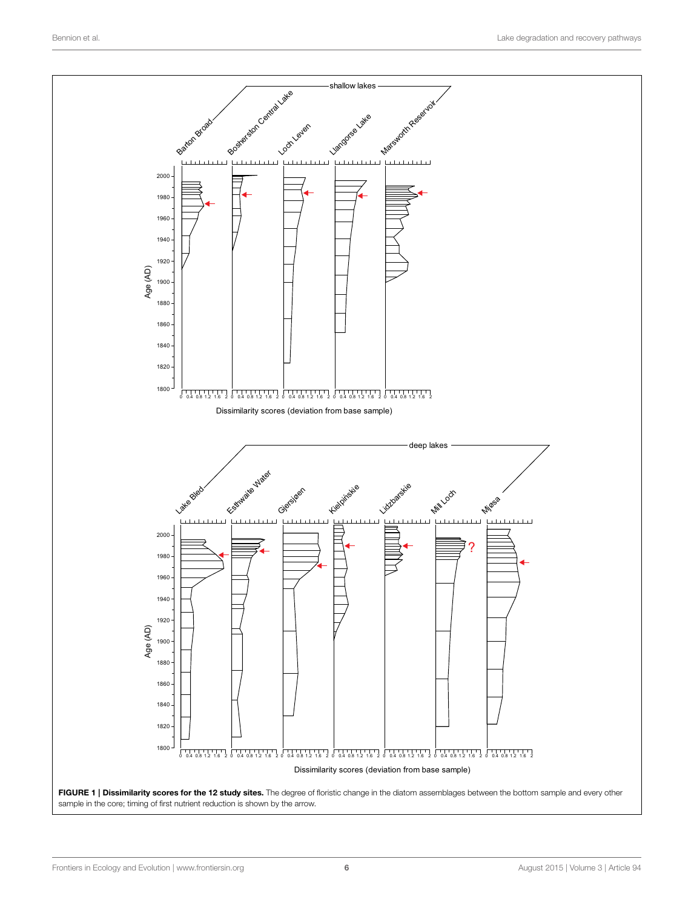<span id="page-5-0"></span>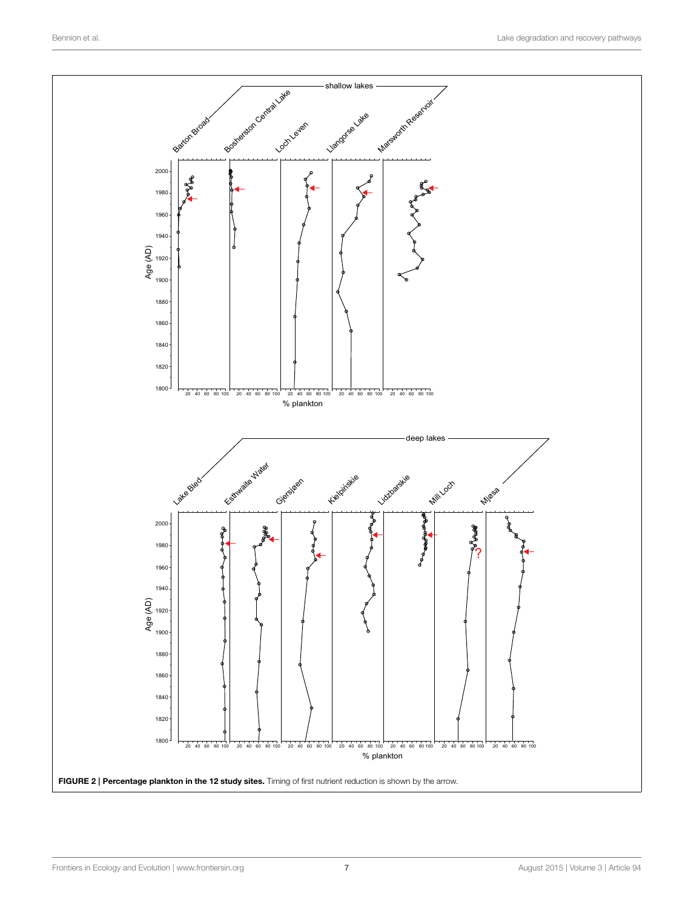<span id="page-6-0"></span>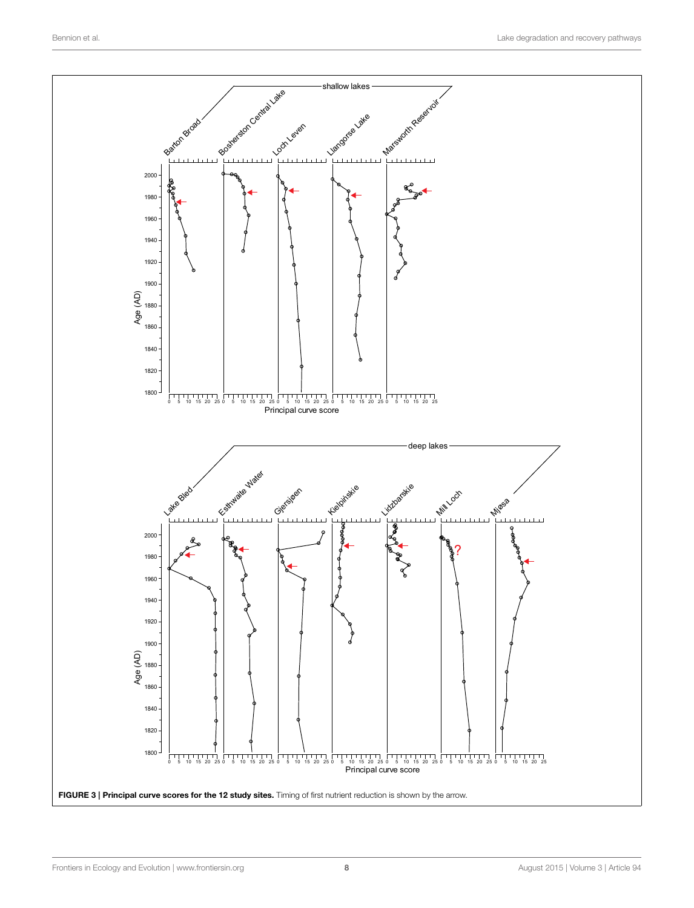<span id="page-7-0"></span>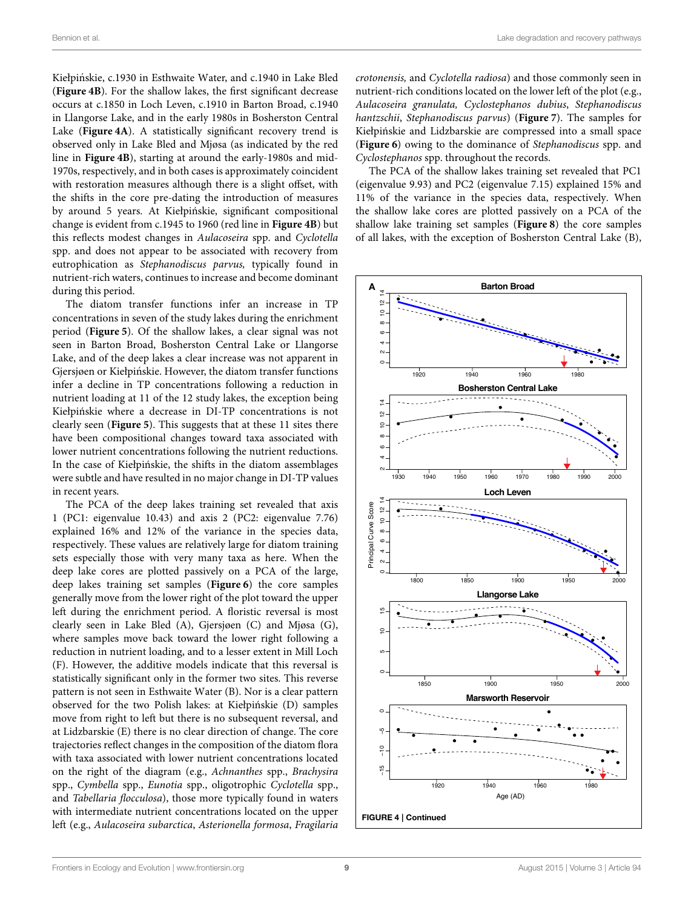Kiełpińskie, c.1930 in Esthwaite Water, and c.1940 in Lake Bled (**[Figure 4B](#page-8-0)**). For the shallow lakes, the first significant decrease occurs at c.1850 in Loch Leven, c.1910 in Barton Broad, c.1940 in Llangorse Lake, and in the early 1980s in Bosherston Central Lake (**[Figure 4A](#page-8-0)**). A statistically significant recovery trend is observed only in Lake Bled and Mjøsa (as indicated by the red line in **[Figure 4B](#page-8-0)**), starting at around the early-1980s and mid-1970s, respectively, and in both cases is approximately coincident with restoration measures although there is a slight offset, with the shifts in the core pre-dating the introduction of measures by around 5 years. At Kiełpinskie, significant compositional ´ change is evident from c.1945 to 1960 (red line in **[Figure 4B](#page-8-0)**) but this reflects modest changes in Aulacoseira spp. and Cyclotella spp. and does not appear to be associated with recovery from eutrophication as Stephanodiscus parvus, typically found in nutrient-rich waters, continues to increase and become dominant during this period.

The diatom transfer functions infer an increase in TP concentrations in seven of the study lakes during the enrichment period (**[Figure 5](#page-9-0)**). Of the shallow lakes, a clear signal was not seen in Barton Broad, Bosherston Central Lake or Llangorse Lake, and of the deep lakes a clear increase was not apparent in Gjersjøen or Kiełpińskie. However, the diatom transfer functions infer a decline in TP concentrations following a reduction in nutrient loading at 11 of the 12 study lakes, the exception being Kiełpinskie where a decrease in DI-TP concentrations is not ´ clearly seen (**[Figure 5](#page-9-0)**). This suggests that at these 11 sites there have been compositional changes toward taxa associated with lower nutrient concentrations following the nutrient reductions. In the case of Kiełpińskie, the shifts in the diatom assemblages were subtle and have resulted in no major change in DI-TP values in recent years.

<span id="page-8-0"></span>The PCA of the deep lakes training set revealed that axis 1 (PC1: eigenvalue 10.43) and axis 2 (PC2: eigenvalue 7.76) explained 16% and 12% of the variance in the species data, respectively. These values are relatively large for diatom training sets especially those with very many taxa as here. When the deep lake cores are plotted passively on a PCA of the large, deep lakes training set samples (**[Figure 6](#page-10-0)**) the core samples generally move from the lower right of the plot toward the upper left during the enrichment period. A floristic reversal is most clearly seen in Lake Bled (A), Gjersjøen (C) and Mjøsa (G), where samples move back toward the lower right following a reduction in nutrient loading, and to a lesser extent in Mill Loch (F). However, the additive models indicate that this reversal is statistically significant only in the former two sites. This reverse pattern is not seen in Esthwaite Water (B). Nor is a clear pattern observed for the two Polish lakes: at Kiełpinskie (D) samples ´ move from right to left but there is no subsequent reversal, and at Lidzbarskie (E) there is no clear direction of change. The core trajectories reflect changes in the composition of the diatom flora with taxa associated with lower nutrient concentrations located on the right of the diagram (e.g., Achnanthes spp., Brachysira spp., Cymbella spp., Eunotia spp., oligotrophic Cyclotella spp., and Tabellaria flocculosa), those more typically found in waters with intermediate nutrient concentrations located on the upper left (e.g., Aulacoseira subarctica, Asterionella formosa, Fragilaria crotonensis, and Cyclotella radiosa) and those commonly seen in nutrient-rich conditions located on the lower left of the plot (e.g., Aulacoseira granulata, Cyclostephanos dubius, Stephanodiscus hantzschii, Stephanodiscus parvus) (**[Figure 7](#page-11-0)**). The samples for Kiełpinskie and Lidzbarskie are compressed into a small space ´ (**[Figure 6](#page-10-0)**) owing to the dominance of Stephanodiscus spp. and Cyclostephanos spp. throughout the records.

The PCA of the shallow lakes training set revealed that PC1 (eigenvalue 9.93) and PC2 (eigenvalue 7.15) explained 15% and 11% of the variance in the species data, respectively. When the shallow lake cores are plotted passively on a PCA of the shallow lake training set samples (**[Figure 8](#page-12-0)**) the core samples of all lakes, with the exception of Bosherston Central Lake (B),

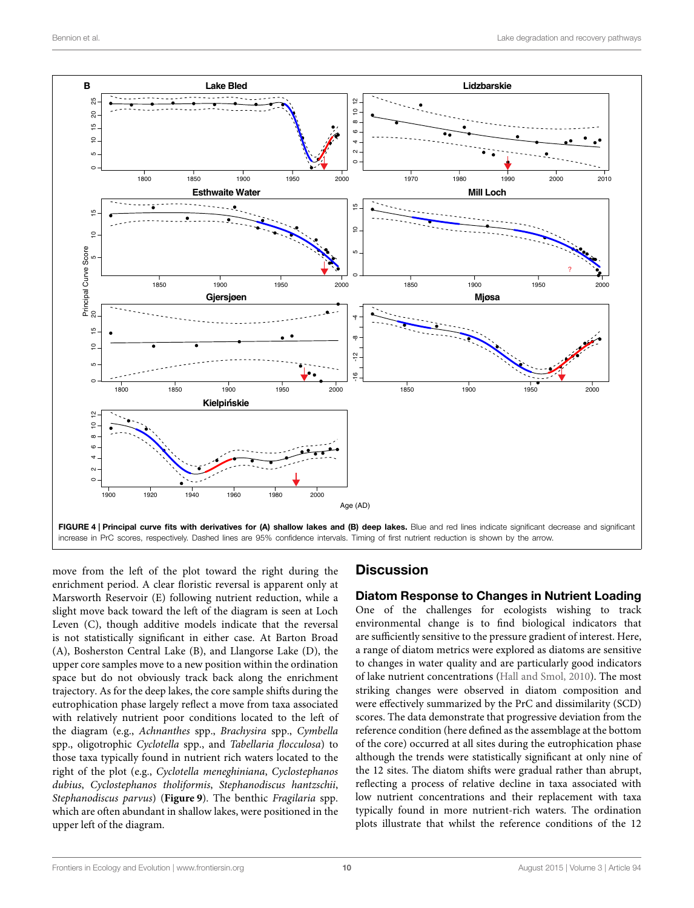

<span id="page-9-0"></span>move from the left of the plot toward the right during the enrichment period. A clear floristic reversal is apparent only at Marsworth Reservoir (E) following nutrient reduction, while a slight move back toward the left of the diagram is seen at Loch Leven (C), though additive models indicate that the reversal is not statistically significant in either case. At Barton Broad (A), Bosherston Central Lake (B), and Llangorse Lake (D), the upper core samples move to a new position within the ordination space but do not obviously track back along the enrichment trajectory. As for the deep lakes, the core sample shifts during the eutrophication phase largely reflect a move from taxa associated with relatively nutrient poor conditions located to the left of the diagram (e.g., Achnanthes spp., Brachysira spp., Cymbella spp., oligotrophic Cyclotella spp., and Tabellaria flocculosa) to those taxa typically found in nutrient rich waters located to the right of the plot (e.g., Cyclotella meneghiniana, Cyclostephanos dubius, Cyclostephanos tholiformis, Stephanodiscus hantzschii, Stephanodiscus parvus) (**[Figure 9](#page-13-0)**). The benthic Fragilaria spp. which are often abundant in shallow lakes, were positioned in the upper left of the diagram.

# **Discussion**

Diatom Response to Changes in Nutrient Loading One of the challenges for ecologists wishing to track environmental change is to find biological indicators that are sufficiently sensitive to the pressure gradient of interest. Here, a range of diatom metrics were explored as diatoms are sensitive to changes in water quality and are particularly good indicators of lake nutrient concentrations [\(Hall and Smol, 2010\)](#page-18-21). The most striking changes were observed in diatom composition and were effectively summarized by the PrC and dissimilarity (SCD) scores. The data demonstrate that progressive deviation from the reference condition (here defined as the assemblage at the bottom of the core) occurred at all sites during the eutrophication phase although the trends were statistically significant at only nine of the 12 sites. The diatom shifts were gradual rather than abrupt, reflecting a process of relative decline in taxa associated with low nutrient concentrations and their replacement with taxa typically found in more nutrient-rich waters. The ordination plots illustrate that whilst the reference conditions of the 12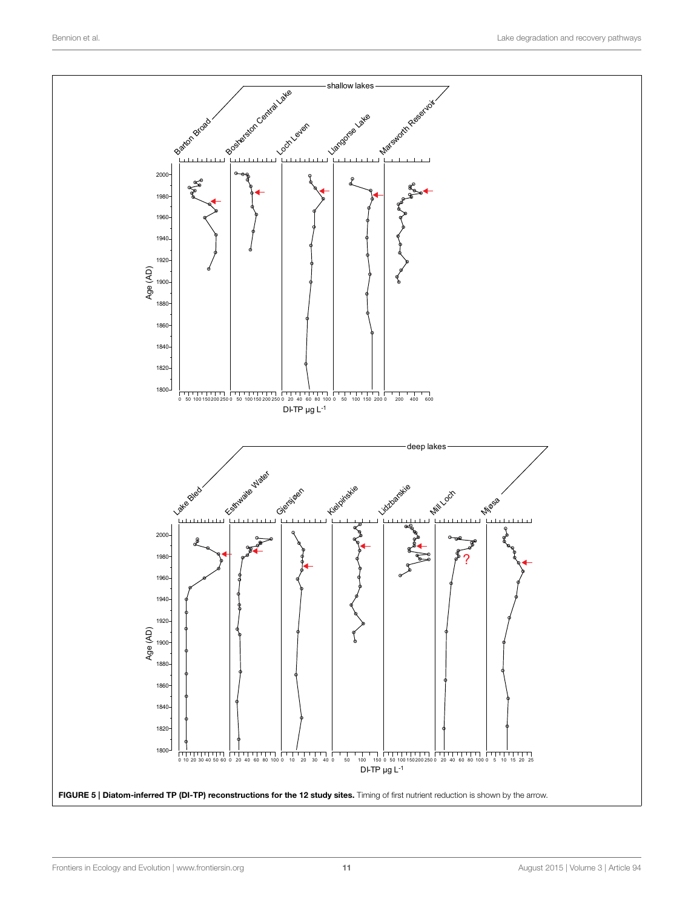<span id="page-10-0"></span>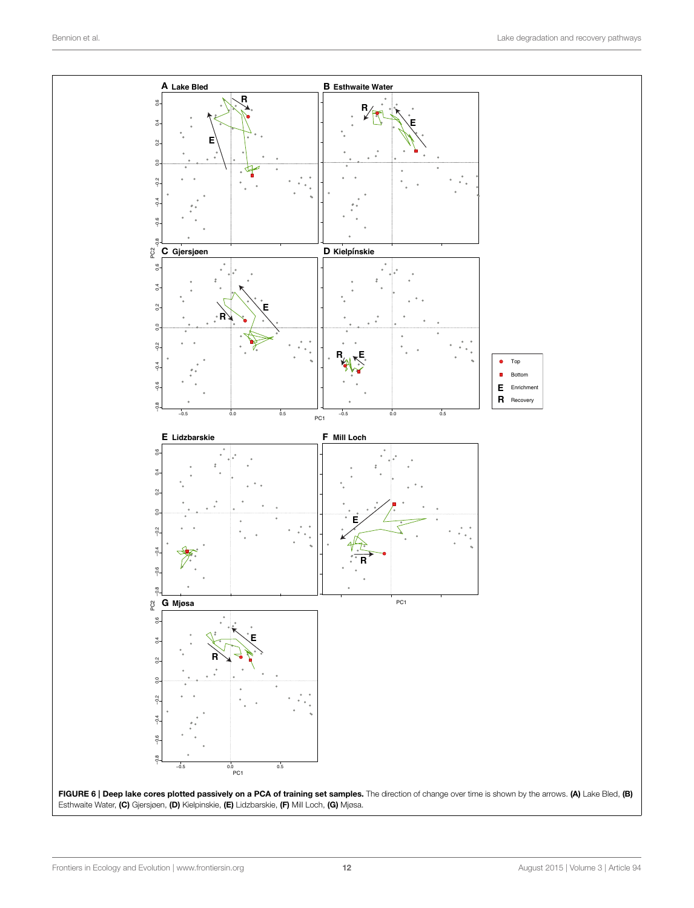<span id="page-11-0"></span>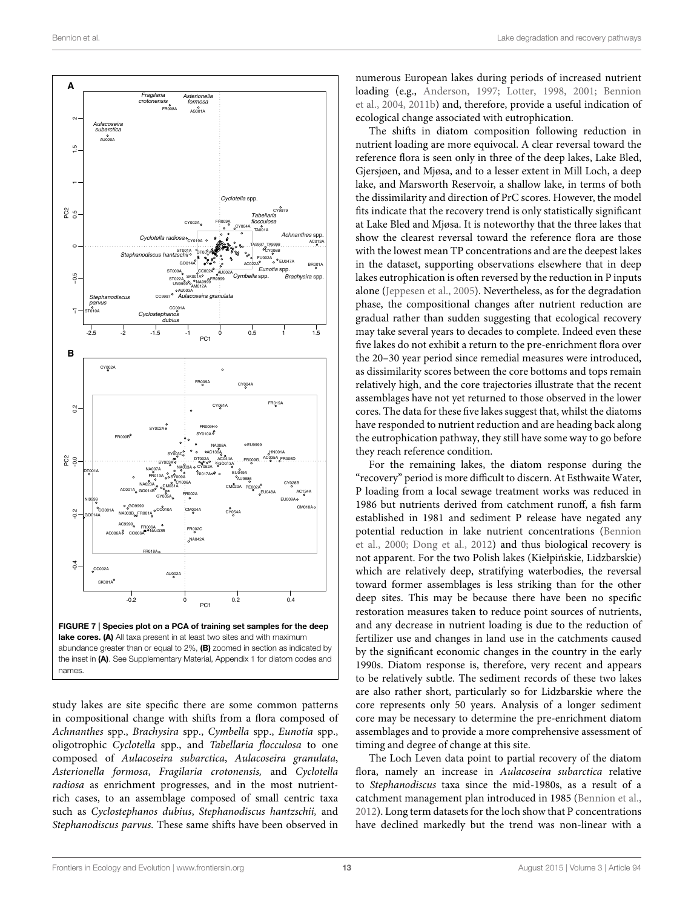

<span id="page-12-0"></span>study lakes are site specific there are some common patterns in compositional change with shifts from a flora composed of Achnanthes spp., Brachysira spp., Cymbella spp., Eunotia spp., oligotrophic Cyclotella spp., and Tabellaria flocculosa to one composed of Aulacoseira subarctica, Aulacoseira granulata, Asterionella formosa, Fragilaria crotonensis, and Cyclotella radiosa as enrichment progresses, and in the most nutrientrich cases, to an assemblage composed of small centric taxa such as Cyclostephanos dubius, Stephanodiscus hantzschii, and Stephanodiscus parvus. These same shifts have been observed in

numerous European lakes during periods of increased nutrient loading (e.g., [Anderson, 1997;](#page-17-9) [Lotter, 1998,](#page-18-22) [2001;](#page-18-23) Bennion et al., [2004,](#page-18-13) [2011b\)](#page-18-15) and, therefore, provide a useful indication of ecological change associated with eutrophication.

The shifts in diatom composition following reduction in nutrient loading are more equivocal. A clear reversal toward the reference flora is seen only in three of the deep lakes, Lake Bled, Gjersjøen, and Mjøsa, and to a lesser extent in Mill Loch, a deep lake, and Marsworth Reservoir, a shallow lake, in terms of both the dissimilarity and direction of PrC scores. However, the model fits indicate that the recovery trend is only statistically significant at Lake Bled and Mjøsa. It is noteworthy that the three lakes that show the clearest reversal toward the reference flora are those with the lowest mean TP concentrations and are the deepest lakes in the dataset, supporting observations elsewhere that in deep lakes eutrophication is often reversed by the reduction in P inputs alone [\(Jeppesen et al., 2005\)](#page-18-1). Nevertheless, as for the degradation phase, the compositional changes after nutrient reduction are gradual rather than sudden suggesting that ecological recovery may take several years to decades to complete. Indeed even these five lakes do not exhibit a return to the pre-enrichment flora over the 20–30 year period since remedial measures were introduced, as dissimilarity scores between the core bottoms and tops remain relatively high, and the core trajectories illustrate that the recent assemblages have not yet returned to those observed in the lower cores. The data for these five lakes suggest that, whilst the diatoms have responded to nutrient reduction and are heading back along the eutrophication pathway, they still have some way to go before they reach reference condition.

For the remaining lakes, the diatom response during the "recovery" period is more difficult to discern. At Esthwaite Water, P loading from a local sewage treatment works was reduced in 1986 but nutrients derived from catchment runoff, a fish farm established in 1981 and sediment P release have negated any potential reduction in lake nutrient concentrations (Bennion et al., [2000;](#page-18-24) [Dong et al., 2012\)](#page-18-25) and thus biological recovery is not apparent. For the two Polish lakes (Kiełpinskie, Lidzbarskie) ´ which are relatively deep, stratifying waterbodies, the reversal toward former assemblages is less striking than for the other deep sites. This may be because there have been no specific restoration measures taken to reduce point sources of nutrients, and any decrease in nutrient loading is due to the reduction of fertilizer use and changes in land use in the catchments caused by the significant economic changes in the country in the early 1990s. Diatom response is, therefore, very recent and appears to be relatively subtle. The sediment records of these two lakes are also rather short, particularly so for Lidzbarskie where the core represents only 50 years. Analysis of a longer sediment core may be necessary to determine the pre-enrichment diatom assemblages and to provide a more comprehensive assessment of timing and degree of change at this site.

The Loch Leven data point to partial recovery of the diatom flora, namely an increase in Aulacoseira subarctica relative to Stephanodiscus taxa since the mid-1980s, as a result of a catchment management plan introduced in 1985 [\(Bennion et al.,](#page-18-26) [2012\)](#page-18-26). Long term datasets for the loch show that P concentrations have declined markedly but the trend was non-linear with a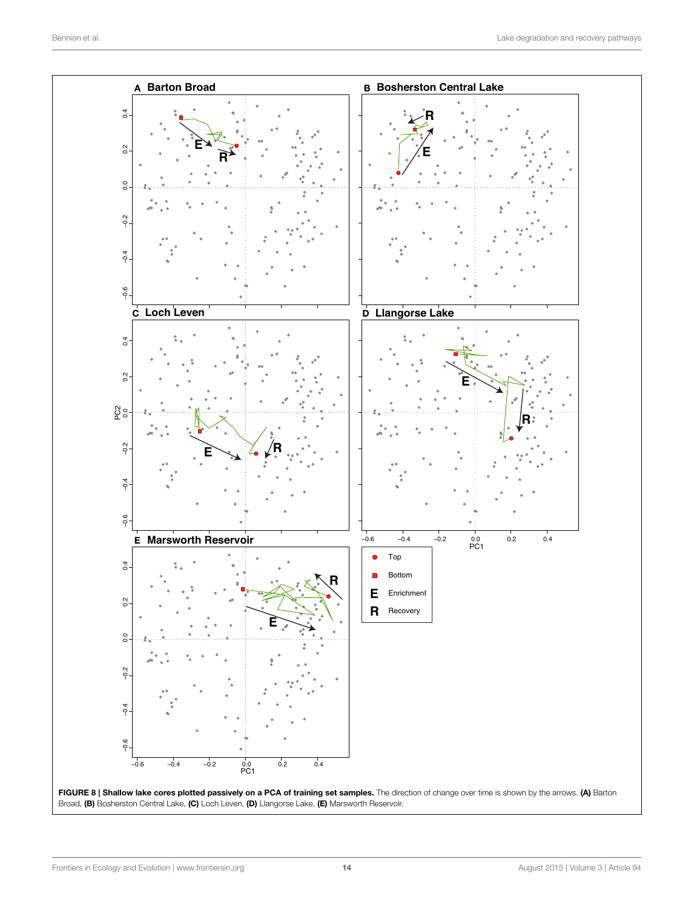<span id="page-13-0"></span>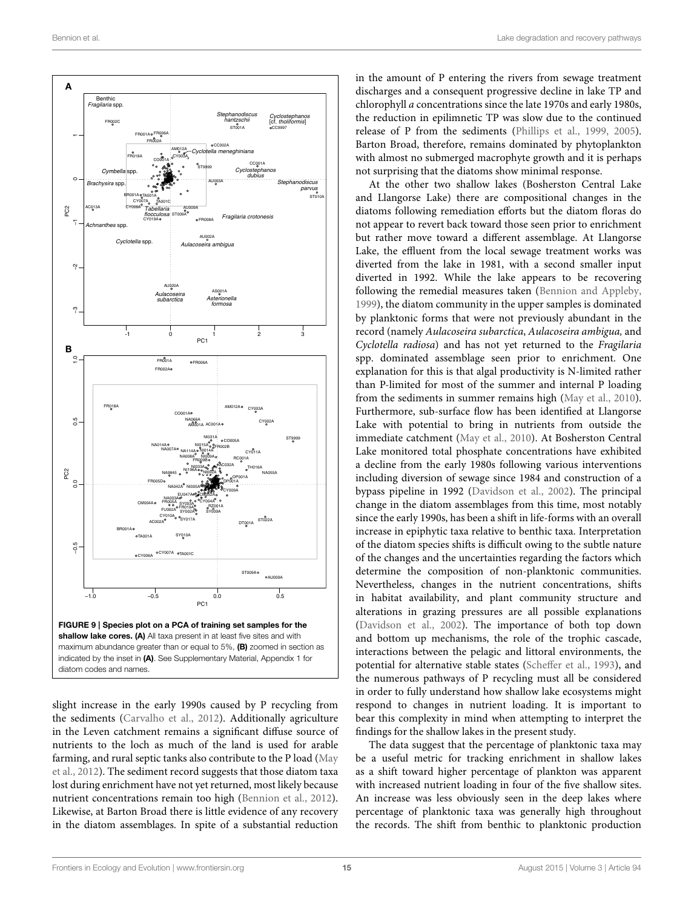

slight increase in the early 1990s caused by P recycling from the sediments [\(Carvalho et al., 2012\)](#page-18-27). Additionally agriculture in the Leven catchment remains a significant diffuse source of nutrients to the loch as much of the land is used for arable farming, and rural septic tanks also contribute to the P load (May et al., [2012\)](#page-18-28). The sediment record suggests that those diatom taxa lost during enrichment have not yet returned, most likely because nutrient concentrations remain too high [\(Bennion et al., 2012\)](#page-18-26). Likewise, at Barton Broad there is little evidence of any recovery in the diatom assemblages. In spite of a substantial reduction

in the amount of P entering the rivers from sewage treatment discharges and a consequent progressive decline in lake TP and chlorophyll a concentrations since the late 1970s and early 1980s, the reduction in epilimnetic TP was slow due to the continued release of P from the sediments [\(Phillips et al., 1999,](#page-19-22) [2005\)](#page-19-23). Barton Broad, therefore, remains dominated by phytoplankton with almost no submerged macrophyte growth and it is perhaps not surprising that the diatoms show minimal response.

At the other two shallow lakes (Bosherston Central Lake and Llangorse Lake) there are compositional changes in the diatoms following remediation efforts but the diatom floras do not appear to revert back toward those seen prior to enrichment but rather move toward a different assemblage. At Llangorse Lake, the effluent from the local sewage treatment works was diverted from the lake in 1981, with a second smaller input diverted in 1992. While the lake appears to be recovering following the remedial measures taken [\(Bennion and Appleby,](#page-17-10) [1999\)](#page-17-10), the diatom community in the upper samples is dominated by planktonic forms that were not previously abundant in the record (namely Aulacoseira subarctica, Aulacoseira ambigua, and Cyclotella radiosa) and has not yet returned to the Fragilaria spp. dominated assemblage seen prior to enrichment. One explanation for this is that algal productivity is N-limited rather than P-limited for most of the summer and internal P loading from the sediments in summer remains high [\(May et al., 2010\)](#page-19-24). Furthermore, sub-surface flow has been identified at Llangorse Lake with potential to bring in nutrients from outside the immediate catchment [\(May et al., 2010\)](#page-19-24). At Bosherston Central Lake monitored total phosphate concentrations have exhibited a decline from the early 1980s following various interventions including diversion of sewage since 1984 and construction of a bypass pipeline in 1992 [\(Davidson et al., 2002\)](#page-18-29). The principal change in the diatom assemblages from this time, most notably since the early 1990s, has been a shift in life-forms with an overall increase in epiphytic taxa relative to benthic taxa. Interpretation of the diatom species shifts is difficult owing to the subtle nature of the changes and the uncertainties regarding the factors which determine the composition of non-planktonic communities. Nevertheless, changes in the nutrient concentrations, shifts in habitat availability, and plant community structure and alterations in grazing pressures are all possible explanations [\(Davidson et al., 2002\)](#page-18-29). The importance of both top down and bottom up mechanisms, the role of the trophic cascade, interactions between the pelagic and littoral environments, the potential for alternative stable states [\(Scheffer et al., 1993\)](#page-19-25), and the numerous pathways of P recycling must all be considered in order to fully understand how shallow lake ecosystems might respond to changes in nutrient loading. It is important to bear this complexity in mind when attempting to interpret the findings for the shallow lakes in the present study.

The data suggest that the percentage of planktonic taxa may be a useful metric for tracking enrichment in shallow lakes as a shift toward higher percentage of plankton was apparent with increased nutrient loading in four of the five shallow sites. An increase was less obviously seen in the deep lakes where percentage of planktonic taxa was generally high throughout the records. The shift from benthic to planktonic production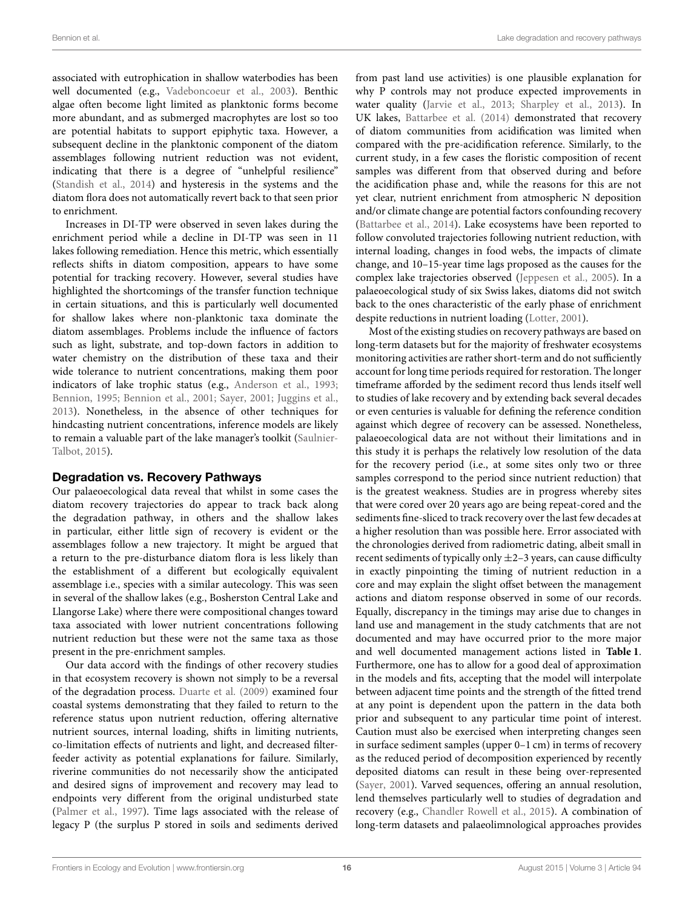associated with eutrophication in shallow waterbodies has been well documented (e.g., [Vadeboncoeur et al., 2003\)](#page-19-10). Benthic algae often become light limited as planktonic forms become more abundant, and as submerged macrophytes are lost so too are potential habitats to support epiphytic taxa. However, a subsequent decline in the planktonic component of the diatom assemblages following nutrient reduction was not evident, indicating that there is a degree of "unhelpful resilience" [\(Standish et al., 2014\)](#page-19-26) and hysteresis in the systems and the diatom flora does not automatically revert back to that seen prior to enrichment.

Increases in DI-TP were observed in seven lakes during the enrichment period while a decline in DI-TP was seen in 11 lakes following remediation. Hence this metric, which essentially reflects shifts in diatom composition, appears to have some potential for tracking recovery. However, several studies have highlighted the shortcomings of the transfer function technique in certain situations, and this is particularly well documented for shallow lakes where non-planktonic taxa dominate the diatom assemblages. Problems include the influence of factors such as light, substrate, and top-down factors in addition to water chemistry on the distribution of these taxa and their wide tolerance to nutrient concentrations, making them poor indicators of lake trophic status (e.g., [Anderson et al., 1993;](#page-17-11) [Bennion, 1995;](#page-17-12) [Bennion et al., 2001;](#page-17-13) [Sayer, 2001;](#page-19-27) [Juggins et al.,](#page-18-30) [2013\)](#page-18-30). Nonetheless, in the absence of other techniques for hindcasting nutrient concentrations, inference models are likely to remain a valuable part of the lake manager's toolkit (Saulnier-Talbot, [2015\)](#page-19-28).

### Degradation vs. Recovery Pathways

Our palaeoecological data reveal that whilst in some cases the diatom recovery trajectories do appear to track back along the degradation pathway, in others and the shallow lakes in particular, either little sign of recovery is evident or the assemblages follow a new trajectory. It might be argued that a return to the pre-disturbance diatom flora is less likely than the establishment of a different but ecologically equivalent assemblage i.e., species with a similar autecology. This was seen in several of the shallow lakes (e.g., Bosherston Central Lake and Llangorse Lake) where there were compositional changes toward taxa associated with lower nutrient concentrations following nutrient reduction but these were not the same taxa as those present in the pre-enrichment samples.

Our data accord with the findings of other recovery studies in that ecosystem recovery is shown not simply to be a reversal of the degradation process. [Duarte et al. \(2009\)](#page-18-8) examined four coastal systems demonstrating that they failed to return to the reference status upon nutrient reduction, offering alternative nutrient sources, internal loading, shifts in limiting nutrients, co-limitation effects of nutrients and light, and decreased filterfeeder activity as potential explanations for failure. Similarly, riverine communities do not necessarily show the anticipated and desired signs of improvement and recovery may lead to endpoints very different from the original undisturbed state [\(Palmer et al., 1997\)](#page-19-29). Time lags associated with the release of legacy P (the surplus P stored in soils and sediments derived from past land use activities) is one plausible explanation for why P controls may not produce expected improvements in water quality [\(Jarvie et al., 2013;](#page-18-31) [Sharpley et al., 2013\)](#page-19-30). In UK lakes, [Battarbee et al. \(2014\)](#page-17-14) demonstrated that recovery of diatom communities from acidification was limited when compared with the pre-acidification reference. Similarly, to the current study, in a few cases the floristic composition of recent samples was different from that observed during and before the acidification phase and, while the reasons for this are not yet clear, nutrient enrichment from atmospheric N deposition and/or climate change are potential factors confounding recovery [\(Battarbee et al., 2014\)](#page-17-14). Lake ecosystems have been reported to follow convoluted trajectories following nutrient reduction, with internal loading, changes in food webs, the impacts of climate change, and 10–15-year time lags proposed as the causes for the complex lake trajectories observed [\(Jeppesen et al., 2005\)](#page-18-1). In a palaeoecological study of six Swiss lakes, diatoms did not switch back to the ones characteristic of the early phase of enrichment despite reductions in nutrient loading [\(Lotter, 2001\)](#page-18-23).

Most of the existing studies on recovery pathways are based on long-term datasets but for the majority of freshwater ecosystems monitoring activities are rather short-term and do not sufficiently account for long time periods required for restoration. The longer timeframe afforded by the sediment record thus lends itself well to studies of lake recovery and by extending back several decades or even centuries is valuable for defining the reference condition against which degree of recovery can be assessed. Nonetheless, palaeoecological data are not without their limitations and in this study it is perhaps the relatively low resolution of the data for the recovery period (i.e., at some sites only two or three samples correspond to the period since nutrient reduction) that is the greatest weakness. Studies are in progress whereby sites that were cored over 20 years ago are being repeat-cored and the sediments fine-sliced to track recovery over the last few decades at a higher resolution than was possible here. Error associated with the chronologies derived from radiometric dating, albeit small in recent sediments of typically only  $\pm$ 2–3 years, can cause difficulty in exactly pinpointing the timing of nutrient reduction in a core and may explain the slight offset between the management actions and diatom response observed in some of our records. Equally, discrepancy in the timings may arise due to changes in land use and management in the study catchments that are not documented and may have occurred prior to the more major and well documented management actions listed in **[Table 1](#page-2-0)**. Furthermore, one has to allow for a good deal of approximation in the models and fits, accepting that the model will interpolate between adjacent time points and the strength of the fitted trend at any point is dependent upon the pattern in the data both prior and subsequent to any particular time point of interest. Caution must also be exercised when interpreting changes seen in surface sediment samples (upper 0–1 cm) in terms of recovery as the reduced period of decomposition experienced by recently deposited diatoms can result in these being over-represented [\(Sayer, 2001\)](#page-19-27). Varved sequences, offering an annual resolution, lend themselves particularly well to studies of degradation and recovery (e.g., [Chandler Rowell et al., 2015\)](#page-18-32). A combination of long-term datasets and palaeolimnological approaches provides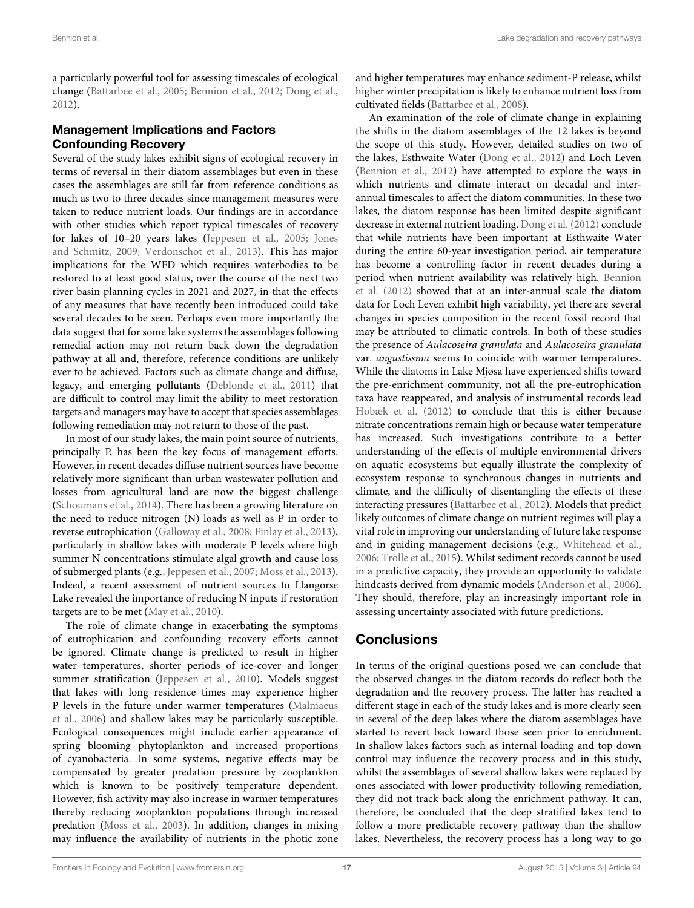a particularly powerful tool for assessing timescales of ecological change [\(Battarbee et al., 2005;](#page-17-4) [Bennion et al., 2012;](#page-18-26) [Dong et al.,](#page-18-25) [2012\)](#page-18-25).

# Management Implications and Factors Confounding Recovery

Several of the study lakes exhibit signs of ecological recovery in terms of reversal in their diatom assemblages but even in these cases the assemblages are still far from reference conditions as much as two to three decades since management measures were taken to reduce nutrient loads. Our findings are in accordance with other studies which report typical timescales of recovery for lakes of 10–20 years lakes [\(Jeppesen et al., 2005;](#page-18-1) Jones and Schmitz, [2009;](#page-18-33) [Verdonschot et al., 2013\)](#page-19-1). This has major implications for the WFD which requires waterbodies to be restored to at least good status, over the course of the next two river basin planning cycles in 2021 and 2027, in that the effects of any measures that have recently been introduced could take several decades to be seen. Perhaps even more importantly the data suggest that for some lake systems the assemblages following remedial action may not return back down the degradation pathway at all and, therefore, reference conditions are unlikely ever to be achieved. Factors such as climate change and diffuse, legacy, and emerging pollutants [\(Deblonde et al., 2011\)](#page-18-34) that are difficult to control may limit the ability to meet restoration targets and managers may have to accept that species assemblages following remediation may not return to those of the past.

In most of our study lakes, the main point source of nutrients, principally P, has been the key focus of management efforts. However, in recent decades diffuse nutrient sources have become relatively more significant than urban wastewater pollution and losses from agricultural land are now the biggest challenge [\(Schoumans et al., 2014\)](#page-19-2). There has been a growing literature on the need to reduce nitrogen (N) loads as well as P in order to reverse eutrophication [\(Galloway et al., 2008;](#page-18-35) [Finlay et al., 2013\)](#page-18-36), particularly in shallow lakes with moderate P levels where high summer N concentrations stimulate algal growth and cause loss of submerged plants (e.g., [Jeppesen et al., 2007;](#page-18-37) [Moss et al., 2013\)](#page-19-31). Indeed, a recent assessment of nutrient sources to Llangorse Lake revealed the importance of reducing N inputs if restoration targets are to be met [\(May et al., 2010\)](#page-19-24).

The role of climate change in exacerbating the symptoms of eutrophication and confounding recovery efforts cannot be ignored. Climate change is predicted to result in higher water temperatures, shorter periods of ice-cover and longer summer stratification [\(Jeppesen et al., 2010\)](#page-18-6). Models suggest that lakes with long residence times may experience higher P levels in the future under warmer temperatures (Malmaeus et al., [2006\)](#page-18-38) and shallow lakes may be particularly susceptible. Ecological consequences might include earlier appearance of spring blooming phytoplankton and increased proportions of cyanobacteria. In some systems, negative effects may be compensated by greater predation pressure by zooplankton which is known to be positively temperature dependent. However, fish activity may also increase in warmer temperatures thereby reducing zooplankton populations through increased predation [\(Moss et al., 2003\)](#page-19-32). In addition, changes in mixing may influence the availability of nutrients in the photic zone and higher temperatures may enhance sediment-P release, whilst higher winter precipitation is likely to enhance nutrient loss from cultivated fields [\(Battarbee et al., 2008\)](#page-17-15).

An examination of the role of climate change in explaining the shifts in the diatom assemblages of the 12 lakes is beyond the scope of this study. However, detailed studies on two of the lakes, Esthwaite Water [\(Dong et al., 2012\)](#page-18-25) and Loch Leven [\(Bennion et al., 2012\)](#page-18-26) have attempted to explore the ways in which nutrients and climate interact on decadal and interannual timescales to affect the diatom communities. In these two lakes, the diatom response has been limited despite significant decrease in external nutrient loading. [Dong et al. \(2012\)](#page-18-25) conclude that while nutrients have been important at Esthwaite Water during the entire 60-year investigation period, air temperature has become a controlling factor in recent decades during a period when nutrient availability was relatively high. Bennion et al. [\(2012\)](#page-18-26) showed that at an inter-annual scale the diatom data for Loch Leven exhibit high variability, yet there are several changes in species composition in the recent fossil record that may be attributed to climatic controls. In both of these studies the presence of Aulacoseira granulata and Aulacoseira granulata var. angustissma seems to coincide with warmer temperatures. While the diatoms in Lake Mjøsa have experienced shifts toward the pre-enrichment community, not all the pre-eutrophication taxa have reappeared, and analysis of instrumental records lead [Hobæk et al. \(2012\)](#page-18-39) to conclude that this is either because nitrate concentrations remain high or because water temperature has increased. Such investigations contribute to a better understanding of the effects of multiple environmental drivers on aquatic ecosystems but equally illustrate the complexity of ecosystem response to synchronous changes in nutrients and climate, and the difficulty of disentangling the effects of these interacting pressures [\(Battarbee et al., 2012\)](#page-17-2). Models that predict likely outcomes of climate change on nutrient regimes will play a vital role in improving our understanding of future lake response and in guiding management decisions (e.g., [Whitehead et al.,](#page-19-33) [2006;](#page-19-33) [Trolle et al., 2015\)](#page-19-34). Whilst sediment records cannot be used in a predictive capacity, they provide an opportunity to validate hindcasts derived from dynamic models [\(Anderson et al., 2006\)](#page-17-16). They should, therefore, play an increasingly important role in assessing uncertainty associated with future predictions.

# **Conclusions**

In terms of the original questions posed we can conclude that the observed changes in the diatom records do reflect both the degradation and the recovery process. The latter has reached a different stage in each of the study lakes and is more clearly seen in several of the deep lakes where the diatom assemblages have started to revert back toward those seen prior to enrichment. In shallow lakes factors such as internal loading and top down control may influence the recovery process and in this study, whilst the assemblages of several shallow lakes were replaced by ones associated with lower productivity following remediation, they did not track back along the enrichment pathway. It can, therefore, be concluded that the deep stratified lakes tend to follow a more predictable recovery pathway than the shallow lakes. Nevertheless, the recovery process has a long way to go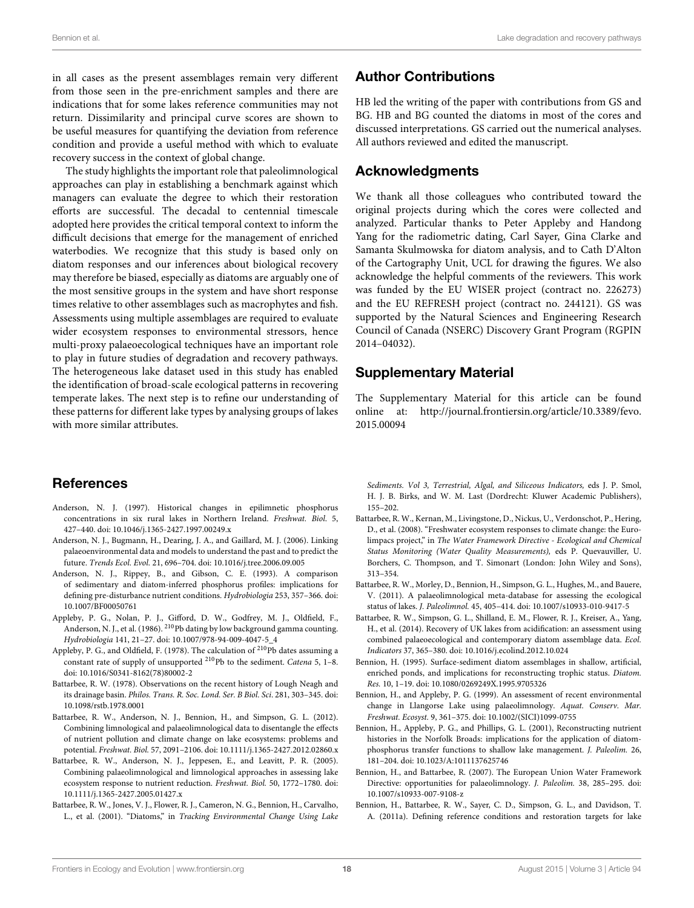in all cases as the present assemblages remain very different from those seen in the pre-enrichment samples and there are indications that for some lakes reference communities may not return. Dissimilarity and principal curve scores are shown to be useful measures for quantifying the deviation from reference condition and provide a useful method with which to evaluate recovery success in the context of global change.

The study highlights the important role that paleolimnological approaches can play in establishing a benchmark against which managers can evaluate the degree to which their restoration efforts are successful. The decadal to centennial timescale adopted here provides the critical temporal context to inform the difficult decisions that emerge for the management of enriched waterbodies. We recognize that this study is based only on diatom responses and our inferences about biological recovery may therefore be biased, especially as diatoms are arguably one of the most sensitive groups in the system and have short response times relative to other assemblages such as macrophytes and fish. Assessments using multiple assemblages are required to evaluate wider ecosystem responses to environmental stressors, hence multi-proxy palaeoecological techniques have an important role to play in future studies of degradation and recovery pathways. The heterogeneous lake dataset used in this study has enabled the identification of broad-scale ecological patterns in recovering temperate lakes. The next step is to refine our understanding of these patterns for different lake types by analysing groups of lakes with more similar attributes.

# References

- <span id="page-17-9"></span>Anderson, N. J. (1997). Historical changes in epilimnetic phosphorus concentrations in six rural lakes in Northern Ireland. Freshwat. Biol. 5, 427–440. doi: 10.1046/j.1365-2427.1997.00249.x
- <span id="page-17-16"></span>Anderson, N. J., Bugmann, H., Dearing, J. A., and Gaillard, M. J. (2006). Linking palaeoenvironmental data and models to understand the past and to predict the future. Trends Ecol. Evol. 21, 696–704. doi: 10.1016/j.tree.2006.09.005
- <span id="page-17-11"></span>Anderson, N. J., Rippey, B., and Gibson, C. E. (1993). A comparison of sedimentary and diatom-inferred phosphorus profiles: implications for defining pre-disturbance nutrient conditions. Hydrobiologia 253, 357–366. doi: 10.1007/BF00050761
- <span id="page-17-6"></span>Appleby, P. G., Nolan, P. J., Gifford, D. W., Godfrey, M. J., Oldfield, F., Anderson, N. J., et al. (1986). <sup>210</sup>Pb dating by low background gamma counting. Hydrobiologia 141, 21–27. doi: 10.1007/978-94-009-4047-5\_4
- <span id="page-17-7"></span>Appleby, P. G., and Oldfield, F. (1978). The calculation of <sup>210</sup>Pb dates assuming a constant rate of supply of unsupported <sup>210</sup>Pb to the sediment. *Catena* 5, 1–8. doi: 10.1016/S0341-8162(78)80002-2
- <span id="page-17-8"></span>Battarbee, R. W. (1978). Observations on the recent history of Lough Neagh and its drainage basin. Philos. Trans. R. Soc. Lond. Ser. B Biol. Sci. 281, 303–345. doi: 10.1098/rstb.1978.0001
- <span id="page-17-2"></span>Battarbee, R. W., Anderson, N. J., Bennion, H., and Simpson, G. L. (2012). Combining limnological and palaeolimnological data to disentangle the effects of nutrient pollution and climate change on lake ecosystems: problems and potential. Freshwat. Biol. 57, 2091–2106. doi: 10.1111/j.1365-2427.2012.02860.x
- <span id="page-17-4"></span>Battarbee, R. W., Anderson, N. J., Jeppesen, E., and Leavitt, P. R. (2005). Combining palaeolimnological and limnological approaches in assessing lake ecosystem response to nutrient reduction. Freshwat. Biol. 50, 1772–1780. doi: 10.1111/j.1365-2427.2005.01427.x
- <span id="page-17-5"></span>Battarbee, R. W., Jones, V. J., Flower, R. J., Cameron, N. G., Bennion, H., Carvalho, L., et al. (2001). "Diatoms," in Tracking Environmental Change Using Lake

# Author Contributions

HB led the writing of the paper with contributions from GS and BG. HB and BG counted the diatoms in most of the cores and discussed interpretations. GS carried out the numerical analyses. All authors reviewed and edited the manuscript.

# Acknowledgments

We thank all those colleagues who contributed toward the original projects during which the cores were collected and analyzed. Particular thanks to Peter Appleby and Handong Yang for the radiometric dating, Carl Sayer, Gina Clarke and Samanta Skulmowska for diatom analysis, and to Cath D'Alton of the Cartography Unit, UCL for drawing the figures. We also acknowledge the helpful comments of the reviewers. This work was funded by the EU WISER project (contract no. 226273) and the EU REFRESH project (contract no. 244121). GS was supported by the Natural Sciences and Engineering Research Council of Canada (NSERC) Discovery Grant Program (RGPIN 2014–04032).

# Supplementary Material

The Supplementary Material for this article can be found [online at: http://journal.frontiersin.org/article/10.3389/fevo.](http://journal.frontiersin.org/article/10.3389/fevo.2015.00094) 2015.00094

Sediments. Vol 3, Terrestrial, Algal, and Siliceous Indicators, eds J. P. Smol, H. J. B. Birks, and W. M. Last (Dordrecht: Kluwer Academic Publishers), 155–202.

- <span id="page-17-15"></span>Battarbee, R. W., Kernan, M., Livingstone, D., Nickus, U., Verdonschot, P., Hering, D., et al. (2008). "Freshwater ecosystem responses to climate change: the Eurolimpacs project," in The Water Framework Directive - Ecological and Chemical Status Monitoring (Water Quality Measurements), eds P. Quevauviller, U. Borchers, C. Thompson, and T. Simonart (London: John Wiley and Sons), 313–354.
- <span id="page-17-0"></span>Battarbee, R. W., Morley, D., Bennion, H., Simpson, G. L., Hughes, M., and Bauere, V. (2011). A palaeolimnological meta-database for assessing the ecological status of lakes. J. Paleolimnol. 45, 405–414. doi: 10.1007/s10933-010-9417-5
- <span id="page-17-14"></span>Battarbee, R. W., Simpson, G. L., Shilland, E. M., Flower, R. J., Kreiser, A., Yang, H., et al. (2014). Recovery of UK lakes from acidification: an assessment using combined palaeoecological and contemporary diatom assemblage data. Ecol. Indicators 37, 365–380. doi: 10.1016/j.ecolind.2012.10.024
- <span id="page-17-12"></span>Bennion, H. (1995). Surface-sediment diatom assemblages in shallow, artificial, enriched ponds, and implications for reconstructing trophic status. Diatom. Res. 10, 1–19. doi: 10.1080/0269249X.1995.9705326
- <span id="page-17-10"></span>Bennion, H., and Appleby, P. G. (1999). An assessment of recent environmental change in Llangorse Lake using palaeolimnology. Aquat. Conserv. Mar. Freshwat. Ecosyst. 9, 361–375. doi: 10.1002/(SICI)1099-0755
- <span id="page-17-13"></span>Bennion, H., Appleby, P. G., and Phillips, G. L. (2001), Reconstructing nutrient histories in the Norfolk Broads: implications for the application of diatomphosphorus transfer functions to shallow lake management. J. Paleolim. 26, 181–204. doi: 10.1023/A:1011137625746
- <span id="page-17-3"></span>Bennion, H., and Battarbee, R. (2007). The European Union Water Framework Directive: opportunities for palaeolimnology. J. Paleolim. 38, 285–295. doi: 10.1007/s10933-007-9108-z
- <span id="page-17-1"></span>Bennion, H., Battarbee, R. W., Sayer, C. D., Simpson, G. L., and Davidson, T. A. (2011a). Defining reference conditions and restoration targets for lake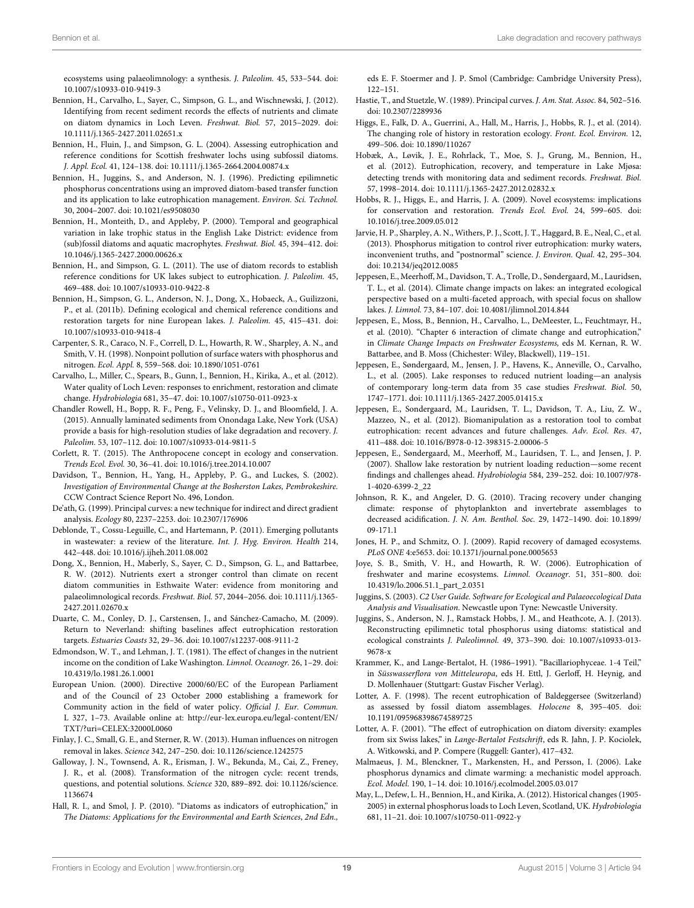ecosystems using palaeolimnology: a synthesis. J. Paleolim. 45, 533–544. doi: 10.1007/s10933-010-9419-3

- <span id="page-18-26"></span>Bennion, H., Carvalho, L., Sayer, C., Simpson, G. L., and Wischnewski, J. (2012). Identifying from recent sediment records the effects of nutrients and climate on diatom dynamics in Loch Leven. Freshwat. Biol. 57, 2015–2029. doi: 10.1111/j.1365-2427.2011.02651.x
- <span id="page-18-13"></span>Bennion, H., Fluin, J., and Simpson, G. L. (2004). Assessing eutrophication and reference conditions for Scottish freshwater lochs using subfossil diatoms. J. Appl. Ecol. 41, 124–138. doi: 10.1111/j.1365-2664.2004.00874.x
- <span id="page-18-20"></span>Bennion, H., Juggins, S., and Anderson, N. J. (1996). Predicting epilimnetic phosphorus concentrations using an improved diatom-based transfer function and its application to lake eutrophication management. Environ. Sci. Technol. 30, 2004–2007. doi: 10.1021/es9508030
- <span id="page-18-24"></span>Bennion, H., Monteith, D., and Appleby, P. (2000). Temporal and geographical variation in lake trophic status in the English Lake District: evidence from (sub)fossil diatoms and aquatic macrophytes. Freshwat. Biol. 45, 394–412. doi: 10.1046/j.1365-2427.2000.00626.x
- <span id="page-18-14"></span>Bennion, H., and Simpson, G. L. (2011). The use of diatom records to establish reference conditions for UK lakes subject to eutrophication. J. Paleolim. 45, 469–488. doi: 10.1007/s10933-010-9422-8
- <span id="page-18-15"></span>Bennion, H., Simpson, G. L., Anderson, N. J., Dong, X., Hobaeck, A., Guilizzoni, P., et al. (2011b). Defining ecological and chemical reference conditions and restoration targets for nine European lakes. J. Paleolim. 45, 415–431. doi: 10.1007/s10933-010-9418-4
- <span id="page-18-2"></span>Carpenter, S. R., Caraco, N. F., Correll, D. L., Howarth, R. W., Sharpley, A. N., and Smith, V. H. (1998). Nonpoint pollution of surface waters with phosphorus and nitrogen. Ecol. Appl. 8, 559–568. doi: 10.1890/1051-0761
- <span id="page-18-27"></span>Carvalho, L., Miller, C., Spears, B., Gunn, I., Bennion, H., Kirika, A., et al. (2012). Water quality of Loch Leven: responses to enrichment, restoration and climate change. Hydrobiologia 681, 35–47. doi: 10.1007/s10750-011-0923-x
- <span id="page-18-32"></span>Chandler Rowell, H., Bopp, R. F., Peng, F., Velinsky, D. J., and Bloomfield, J. A. (2015). Annually laminated sediments from Onondaga Lake, New York (USA) provide a basis for high-resolution studies of lake degradation and recovery. J. Paleolim. 53, 107–112. doi: 10.1007/s10933-014-9811-5
- <span id="page-18-11"></span>Corlett, R. T. (2015). The Anthropocene concept in ecology and conservation. Trends Ecol. Evol. 30, 36–41. doi: 10.1016/j.tree.2014.10.007
- <span id="page-18-29"></span>Davidson, T., Bennion, H., Yang, H., Appleby, P. G., and Luckes, S. (2002). Investigation of Environmental Change at the Bosherston Lakes, Pembrokeshire. CCW Contract Science Report No. 496, London.
- <span id="page-18-19"></span>De'ath, G. (1999). Principal curves: a new technique for indirect and direct gradient analysis. Ecology 80, 2237–2253. doi: 10.2307/176906
- <span id="page-18-34"></span>Deblonde, T., Cossu-Leguille, C., and Hartemann, P. (2011). Emerging pollutants in wastewater: a review of the literature. Int. J. Hyg. Environ. Health 214, 442–448. doi: 10.1016/j.ijheh.2011.08.002
- <span id="page-18-25"></span>Dong, X., Bennion, H., Maberly, S., Sayer, C. D., Simpson, G. L., and Battarbee, R. W. (2012). Nutrients exert a stronger control than climate on recent diatom communities in Esthwaite Water: evidence from monitoring and palaeolimnological records. Freshwat. Biol. 57, 2044–2056. doi: 10.1111/j.1365- 2427.2011.02670.x
- <span id="page-18-8"></span>Duarte, C. M., Conley, D. J., Carstensen, J., and Sánchez-Camacho, M. (2009). Return to Neverland: shifting baselines affect eutrophication restoration targets. Estuaries Coasts 32, 29–36. doi: 10.1007/s12237-008-9111-2
- <span id="page-18-3"></span>Edmondson, W. T., and Lehman, J. T. (1981). The effect of changes in the nutrient income on the condition of Lake Washington. Limnol. Oceanogr. 26, 1–29. doi: 10.4319/lo.1981.26.1.0001
- <span id="page-18-12"></span>European Union. (2000). Directive 2000/60/EC of the European Parliament and of the Council of 23 October 2000 establishing a framework for Community action in the field of water policy. Official J. Eur. Commun. L 327, 1–73. Available online at: [http://eur-lex.europa.eu/legal-content/EN/](http://eur-lex.europa.eu/legal-content/EN/TXT/?uri=CELEX:32000L0060) [TXT/?uri=CELEX:32000L0060](http://eur-lex.europa.eu/legal-content/EN/TXT/?uri=CELEX:32000L0060)
- <span id="page-18-36"></span>Finlay, J. C., Small, G. E., and Sterner, R. W. (2013). Human influences on nitrogen removal in lakes. Science 342, 247–250. doi: 10.1126/science.1242575
- <span id="page-18-35"></span>Galloway, J. N., Townsend, A. R., Erisman, J. W., Bekunda, M., Cai, Z., Freney, J. R., et al. (2008). Transformation of the nitrogen cycle: recent trends, questions, and potential solutions. Science 320, 889–892. doi: 10.1126/science. 1136674
- <span id="page-18-21"></span>Hall, R. I., and Smol, J. P. (2010). "Diatoms as indicators of eutrophication," in The Diatoms: Applications for the Environmental and Earth Sciences, 2nd Edn.,

eds E. F. Stoermer and J. P. Smol (Cambridge: Cambridge University Press), 122–151.

- <span id="page-18-18"></span>Hastie, T., and Stuetzle, W. (1989). Principal curves. J. Am. Stat. Assoc. 84, 502–516. doi: 10.2307/2289936
- <span id="page-18-10"></span>Higgs, E., Falk, D. A., Guerrini, A., Hall, M., Harris, J., Hobbs, R. J., et al. (2014). The changing role of history in restoration ecology. Front. Ecol. Environ. 12, 499–506. doi: 10.1890/110267
- <span id="page-18-39"></span>Hobæk, A., Løvik, J. E., Rohrlack, T., Moe, S. J., Grung, M., Bennion, H., et al. (2012). Eutrophication, recovery, and temperature in Lake Mjøsa: detecting trends with monitoring data and sediment records. Freshwat. Biol. 57, 1998–2014. doi: 10.1111/j.1365-2427.2012.02832.x
- <span id="page-18-9"></span>Hobbs, R. J., Higgs, E., and Harris, J. A. (2009). Novel ecosystems: implications for conservation and restoration. Trends Ecol. Evol. 24, 599–605. doi: 10.1016/j.tree.2009.05.012
- <span id="page-18-31"></span>Jarvie, H. P., Sharpley, A. N., Withers, P. J., Scott, J. T., Haggard, B. E., Neal, C., et al. (2013). Phosphorus mitigation to control river eutrophication: murky waters, inconvenient truths, and "postnormal" science. J. Environ. Qual. 42, 295–304. doi: 10.2134/jeq2012.0085
- <span id="page-18-7"></span>Jeppesen, E., Meerhoff, M., Davidson, T. A., Trolle, D., Søndergaard, M., Lauridsen, T. L., et al. (2014). Climate change impacts on lakes: an integrated ecological perspective based on a multi-faceted approach, with special focus on shallow lakes. J. Limnol. 73, 84–107. doi: 10.4081/jlimnol.2014.844
- <span id="page-18-6"></span>Jeppesen, E., Moss, B., Bennion, H., Carvalho, L., DeMeester, L., Feuchtmayr, H., et al. (2010). "Chapter 6 interaction of climate change and eutrophication," in Climate Change Impacts on Freshwater Ecosystems, eds M. Kernan, R. W. Battarbee, and B. Moss (Chichester: Wiley, Blackwell), 119–151.
- <span id="page-18-1"></span>Jeppesen, E., Søndergaard, M., Jensen, J. P., Havens, K., Anneville, O., Carvalho, L., et al. (2005). Lake responses to reduced nutrient loading—an analysis of contemporary long-term data from 35 case studies Freshwat. Biol. 50, 1747–1771. doi: 10.1111/j.1365-2427.2005.01415.x
- <span id="page-18-4"></span>Jeppesen, E., Sondergaard, M., Lauridsen, T. L., Davidson, T. A., Liu, Z. W., Mazzeo, N., et al. (2012). Biomanipulation as a restoration tool to combat eutrophication: recent advances and future challenges. Adv. Ecol. Res. 47, 411–488. doi: 10.1016/B978-0-12-398315-2.00006-5
- <span id="page-18-37"></span>Jeppesen, E., Søndergaard, M., Meerhoff, M., Lauridsen, T. L., and Jensen, J. P. (2007). Shallow lake restoration by nutrient loading reduction—some recent findings and challenges ahead. Hydrobiologia 584, 239–252. doi: 10.1007/978- 1-4020-6399-2\_22
- <span id="page-18-5"></span>Johnson, R. K., and Angeler, D. G. (2010). Tracing recovery under changing climate: response of phytoplankton and invertebrate assemblages to decreased acidification. J. N. Am. Benthol. Soc. 29, 1472–1490. doi: 10.1899/ 09-171.1
- <span id="page-18-33"></span>Jones, H. P., and Schmitz, O. J. (2009). Rapid recovery of damaged ecosystems. PLoS ONE 4:e5653. doi: 10.1371/journal.pone.0005653
- <span id="page-18-0"></span>Joye, S. B., Smith, V. H., and Howarth, R. W. (2006). Eutrophication of freshwater and marine ecosystems. Limnol. Oceanogr. 51, 351–800. doi: 10.4319/lo.2006.51.1\_part\_2.0351
- <span id="page-18-17"></span>Juggins, S. (2003). C2 User Guide. Software for Ecological and Palaeoecological Data Analysis and Visualisation. Newcastle upon Tyne: Newcastle University.
- <span id="page-18-30"></span>Juggins, S., Anderson, N. J., Ramstack Hobbs, J. M., and Heathcote, A. J. (2013). Reconstructing epilimnetic total phosphorus using diatoms: statistical and ecological constraints J. Paleolimnol. 49, 373–390. doi: 10.1007/s10933-013- 9678-x
- <span id="page-18-16"></span>Krammer, K., and Lange-Bertalot, H. (1986–1991). "Bacillariophyceae. 1-4 Teil," in Süsswasserflora von Mitteleuropa, eds H. Ettl, J. Gerloff, H. Heynig, and D. Mollenhauer (Stuttgart: Gustav Fischer Verlag).
- <span id="page-18-22"></span>Lotter, A. F. (1998). The recent eutrophication of Baldeggersee (Switzerland) as assessed by fossil diatom assemblages. Holocene 8, 395–405. doi: 10.1191/095968398674589725
- <span id="page-18-23"></span>Lotter, A. F. (2001). "The effect of eutrophication on diatom diversity: examples from six Swiss lakes," in Lange-Bertalot Festschrift, eds R. Jahn, J. P. Kociolek, A. Witkowski, and P. Compere (Ruggell: Ganter), 417–432.
- <span id="page-18-38"></span>Malmaeus, J. M., Blenckner, T., Markensten, H., and Persson, I. (2006). Lake phosphorus dynamics and climate warming: a mechanistic model approach. Ecol. Model. 190, 1–14. doi: 10.1016/j.ecolmodel.2005.03.017
- <span id="page-18-28"></span>May, L., Defew, L. H., Bennion, H., and Kirika, A. (2012). Historical changes (1905- 2005) in external phosphorus loads to Loch Leven, Scotland, UK. Hydrobiologia 681, 11–21. doi: 10.1007/s10750-011-0922-y